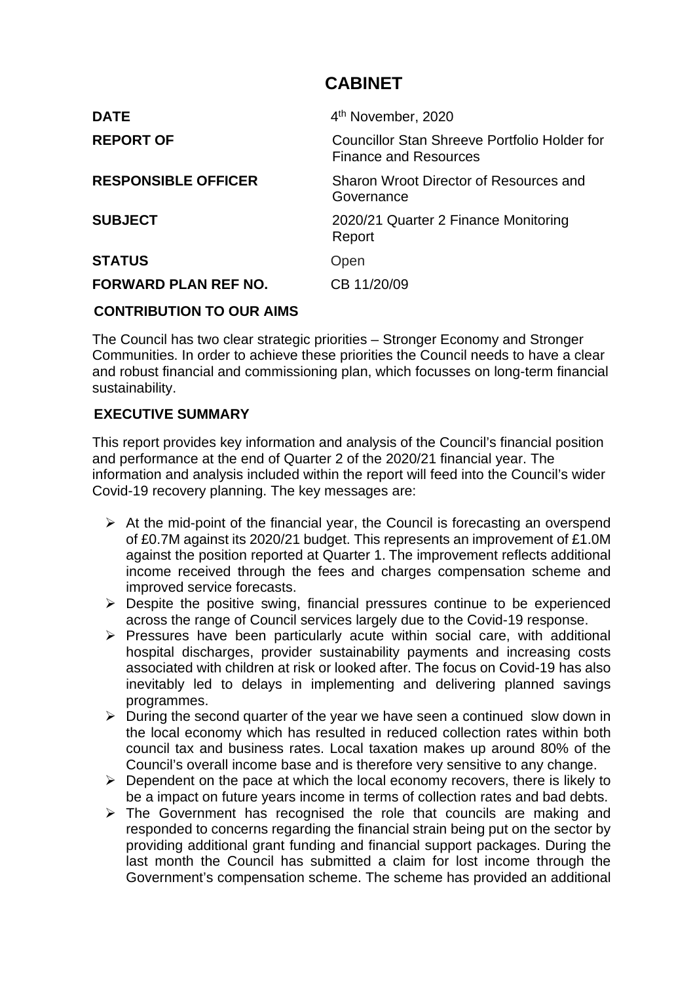### **CABINET**

| <b>DATE</b>                 | 4 <sup>th</sup> November, 2020                                               |
|-----------------------------|------------------------------------------------------------------------------|
| <b>REPORT OF</b>            | Councillor Stan Shreeve Portfolio Holder for<br><b>Finance and Resources</b> |
| <b>RESPONSIBLE OFFICER</b>  | Sharon Wroot Director of Resources and<br>Governance                         |
| <b>SUBJECT</b>              | 2020/21 Quarter 2 Finance Monitoring<br>Report                               |
| <b>STATUS</b>               | Open                                                                         |
| <b>FORWARD PLAN REF NO.</b> | CB 11/20/09                                                                  |
| CAUTRIBUTIAN TA AUR AIMA    |                                                                              |

### **CONTRIBUTION TO OUR AIMS**

The Council has two clear strategic priorities – Stronger Economy and Stronger Communities. In order to achieve these priorities the Council needs to have a clear and robust financial and commissioning plan, which focusses on long-term financial sustainability.

### **EXECUTIVE SUMMARY**

This report provides key information and analysis of the Council's financial position and performance at the end of Quarter 2 of the 2020/21 financial year. The information and analysis included within the report will feed into the Council's wider Covid-19 recovery planning. The key messages are:

- $\triangleright$  At the mid-point of the financial year, the Council is forecasting an overspend of £0.7M against its 2020/21 budget. This represents an improvement of £1.0M against the position reported at Quarter 1. The improvement reflects additional income received through the fees and charges compensation scheme and improved service forecasts.
- $\triangleright$  Despite the positive swing, financial pressures continue to be experienced across the range of Council services largely due to the Covid-19 response.
- $\triangleright$  Pressures have been particularly acute within social care, with additional hospital discharges, provider sustainability payments and increasing costs associated with children at risk or looked after. The focus on Covid-19 has also inevitably led to delays in implementing and delivering planned savings programmes.
- $\triangleright$  During the second quarter of the year we have seen a continued slow down in the local economy which has resulted in reduced collection rates within both council tax and business rates. Local taxation makes up around 80% of the Council's overall income base and is therefore very sensitive to any change.
- $\triangleright$  Dependent on the pace at which the local economy recovers, there is likely to be a impact on future years income in terms of collection rates and bad debts.
- $\triangleright$  The Government has recognised the role that councils are making and responded to concerns regarding the financial strain being put on the sector by providing additional grant funding and financial support packages. During the last month the Council has submitted a claim for lost income through the Government's compensation scheme. The scheme has provided an additional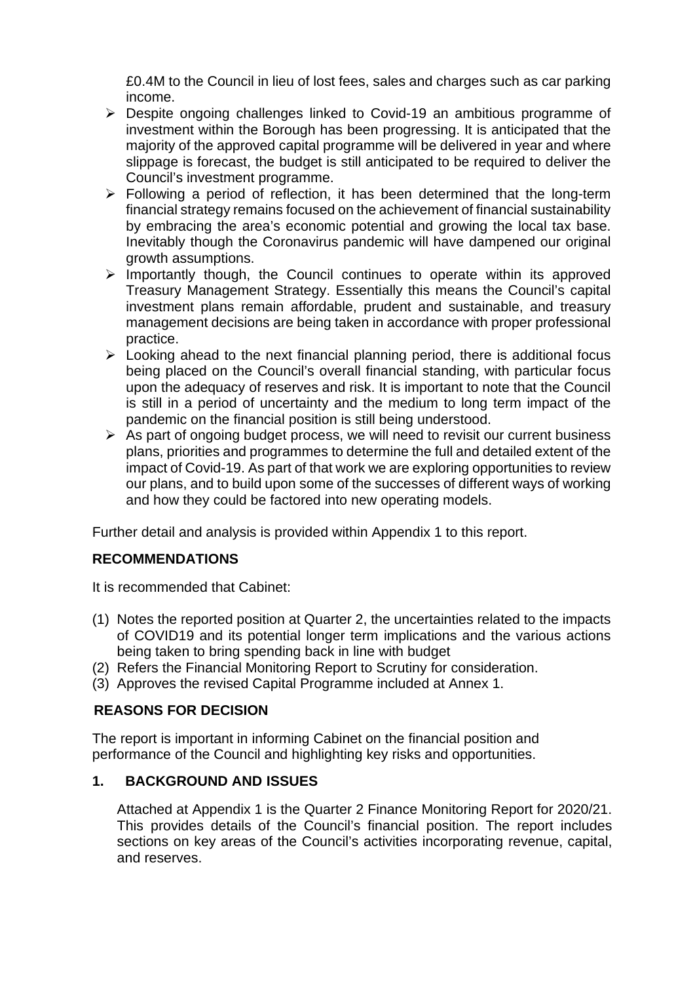£0.4M to the Council in lieu of lost fees, sales and charges such as car parking income.

- Despite ongoing challenges linked to Covid-19 an ambitious programme of investment within the Borough has been progressing. It is anticipated that the majority of the approved capital programme will be delivered in year and where slippage is forecast, the budget is still anticipated to be required to deliver the Council's investment programme.
- $\triangleright$  Following a period of reflection, it has been determined that the long-term financial strategy remains focused on the achievement of financial sustainability by embracing the area's economic potential and growing the local tax base. Inevitably though the Coronavirus pandemic will have dampened our original growth assumptions.
- $\triangleright$  Importantly though, the Council continues to operate within its approved Treasury Management Strategy. Essentially this means the Council's capital investment plans remain affordable, prudent and sustainable, and treasury management decisions are being taken in accordance with proper professional practice.
- $\triangleright$  Looking ahead to the next financial planning period, there is additional focus being placed on the Council's overall financial standing, with particular focus upon the adequacy of reserves and risk. It is important to note that the Council is still in a period of uncertainty and the medium to long term impact of the pandemic on the financial position is still being understood.
- $\triangleright$  As part of ongoing budget process, we will need to revisit our current business plans, priorities and programmes to determine the full and detailed extent of the impact of Covid-19. As part of that work we are exploring opportunities to review our plans, and to build upon some of the successes of different ways of working and how they could be factored into new operating models.

Further detail and analysis is provided within Appendix 1 to this report.

### **RECOMMENDATIONS**

It is recommended that Cabinet:

- (1) Notes the reported position at Quarter 2, the uncertainties related to the impacts of COVID19 and its potential longer term implications and the various actions being taken to bring spending back in line with budget
- (2) Refers the Financial Monitoring Report to Scrutiny for consideration.
- (3) Approves the revised Capital Programme included at Annex 1.

### **REASONS FOR DECISION**

The report is important in informing Cabinet on the financial position and performance of the Council and highlighting key risks and opportunities.

### **1. BACKGROUND AND ISSUES**

Attached at Appendix 1 is the Quarter 2 Finance Monitoring Report for 2020/21. This provides details of the Council's financial position. The report includes sections on key areas of the Council's activities incorporating revenue, capital, and reserves.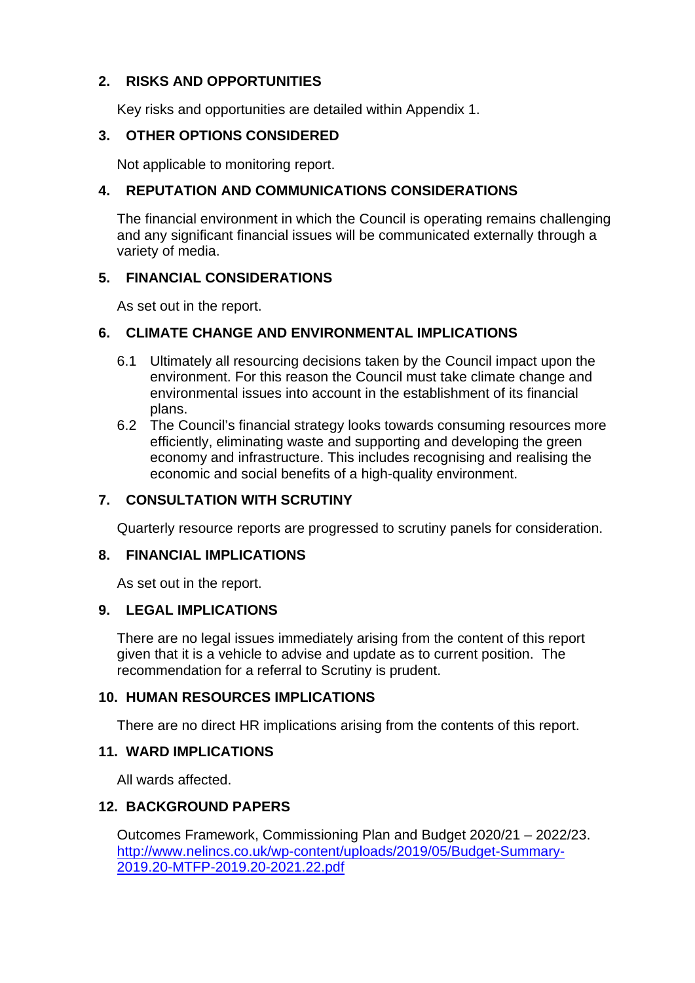### **2. RISKS AND OPPORTUNITIES**

Key risks and opportunities are detailed within Appendix 1.

### **3. OTHER OPTIONS CONSIDERED**

Not applicable to monitoring report.

### **4. REPUTATION AND COMMUNICATIONS CONSIDERATIONS**

The financial environment in which the Council is operating remains challenging and any significant financial issues will be communicated externally through a variety of media.

### **5. FINANCIAL CONSIDERATIONS**

As set out in the report.

### **6. CLIMATE CHANGE AND ENVIRONMENTAL IMPLICATIONS**

- 6.1 Ultimately all resourcing decisions taken by the Council impact upon the environment. For this reason the Council must take climate change and environmental issues into account in the establishment of its financial plans.
- 6.2 The Council's financial strategy looks towards consuming resources more efficiently, eliminating waste and supporting and developing the green economy and infrastructure. This includes recognising and realising the economic and social benefits of a high-quality environment.

### **7. CONSULTATION WITH SCRUTINY**

Quarterly resource reports are progressed to scrutiny panels for consideration.

### **8. FINANCIAL IMPLICATIONS**

As set out in the report.

### **9. LEGAL IMPLICATIONS**

There are no legal issues immediately arising from the content of this report given that it is a vehicle to advise and update as to current position. The recommendation for a referral to Scrutiny is prudent.

### **10. HUMAN RESOURCES IMPLICATIONS**

There are no direct HR implications arising from the contents of this report.

### **11. WARD IMPLICATIONS**

All wards affected.

### **12. BACKGROUND PAPERS**

Outcomes Framework, Commissioning Plan and Budget 2020/21 – 2022/23. [http://www.nelincs.co.uk/wp-content/uploads/2019/05/Budget-Summary-](http://www.nelincs.co.uk/wp-content/uploads/2019/05/Budget-Summary-2019.20-MTFP-2019.20-2021.22.pdf)[2019.20-MTFP-2019.20-2021.22.pdf](http://www.nelincs.co.uk/wp-content/uploads/2019/05/Budget-Summary-2019.20-MTFP-2019.20-2021.22.pdf)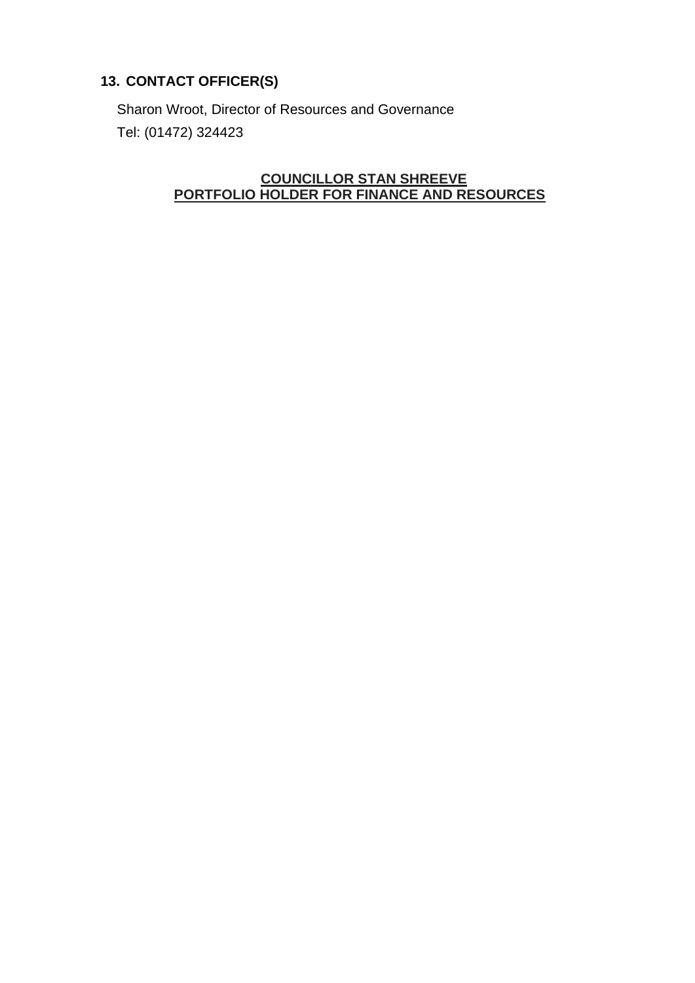### **13. CONTACT OFFICER(S)**

Sharon Wroot, Director of Resources and Governance Tel: (01472) 324423

### **COUNCILLOR STAN SHREEVE PORTFOLIO HOLDER FOR FINANCE AND RESOURCES**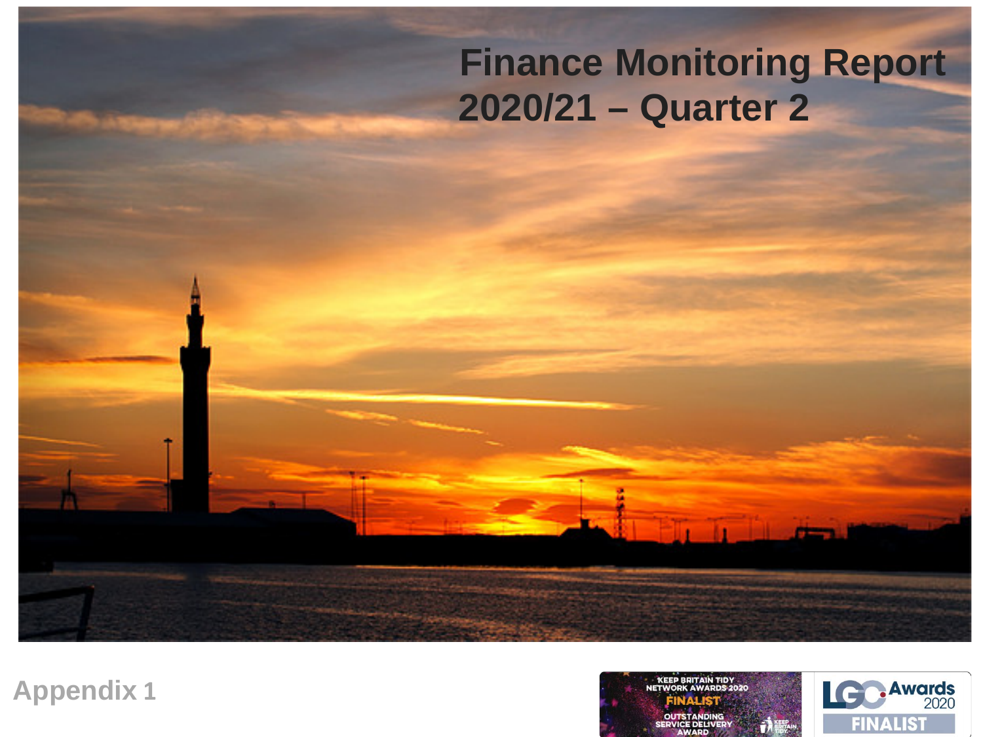# **Finance Monitoring Report 2020/21 – Quarter 2**

**Appendix 1**

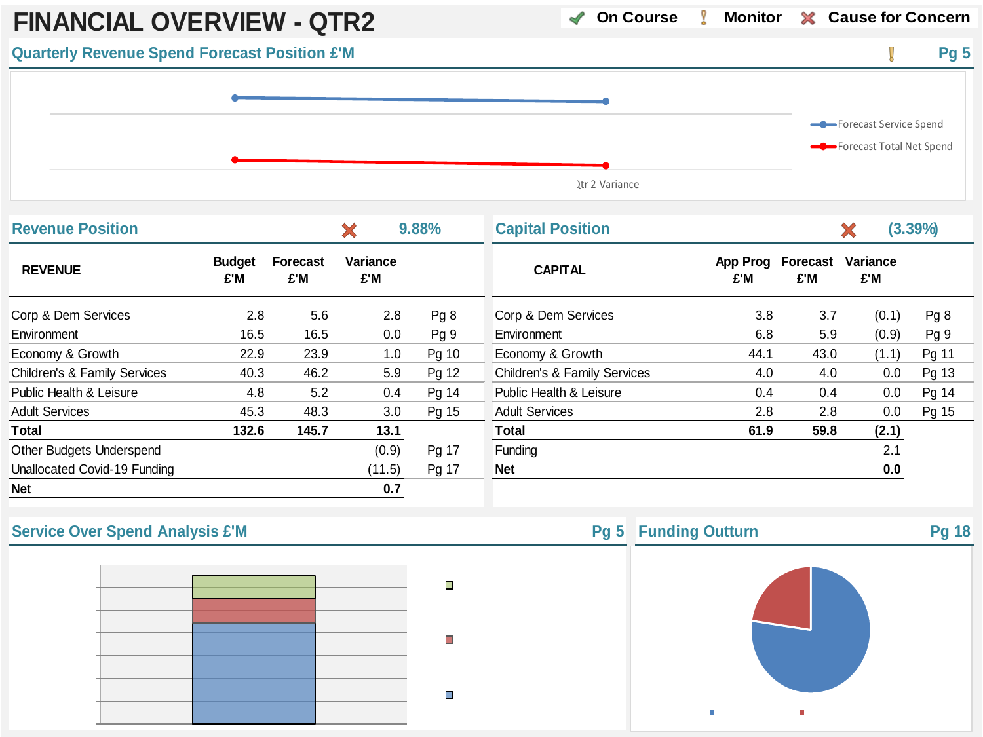

| <b>Revenue Position</b>      |                      |                        | X               | 9.88% | <b>Capital Position</b>                 |                 |                        |                 | $(3.39\%)$ |
|------------------------------|----------------------|------------------------|-----------------|-------|-----------------------------------------|-----------------|------------------------|-----------------|------------|
| <b>REVENUE</b>               | <b>Budget</b><br>£'M | <b>Forecast</b><br>£'M | Variance<br>£'M |       | <b>CAPITAL</b>                          | App Prog<br>£'M | <b>Forecast</b><br>£'M | Variance<br>£'M |            |
| Corp & Dem Services          | 2.8                  | 5.6                    | 2.8             | Pg8   | Corp & Dem Services                     | 3.8             | 3.7                    | (0.1)           | Pg 8       |
| Environment                  | 16.5                 | 16.5                   | 0.0             | Pq9   | Environment                             | 6.8             | 5.9                    | (0.9)           | Pg 9       |
| Economy & Growth             | 22.9                 | 23.9                   | 1.0             | Pg 10 | Economy & Growth                        | 44.1            | 43.0                   | (1.1)           | Pg 11      |
| Children's & Family Services | 40.3                 | 46.2                   | 5.9             | Pg 12 | <b>Children's &amp; Family Services</b> | 4.0             | 4.0                    | 0.0             | Pg 13      |
| Public Health & Leisure      | 4.8                  | 5.2                    | 0.4             | Pg 14 | Public Health & Leisure                 | 0.4             | 0.4                    | 0.0             | Pg 14      |
| <b>Adult Services</b>        | 45.3                 | 48.3                   | 3.0             | Pg 15 | <b>Adult Services</b>                   | 2.8             | 2.8                    | 0.0             | Pg 15      |
| Total                        | 132.6                | 145.7                  | 13.1            |       | <b>Total</b>                            | 61.9            | 59.8                   | (2.1)           |            |
| Other Budgets Underspend     |                      |                        | (0.9)           | Pg 17 | Funding                                 |                 |                        | 2.1             |            |
| Unallocated Covid-19 Funding |                      |                        | (11.5)          | Pg 17 | <b>Net</b>                              |                 |                        | 0.0             |            |
| <b>Net</b>                   |                      |                        | 0.7             |       |                                         |                 |                        |                 |            |



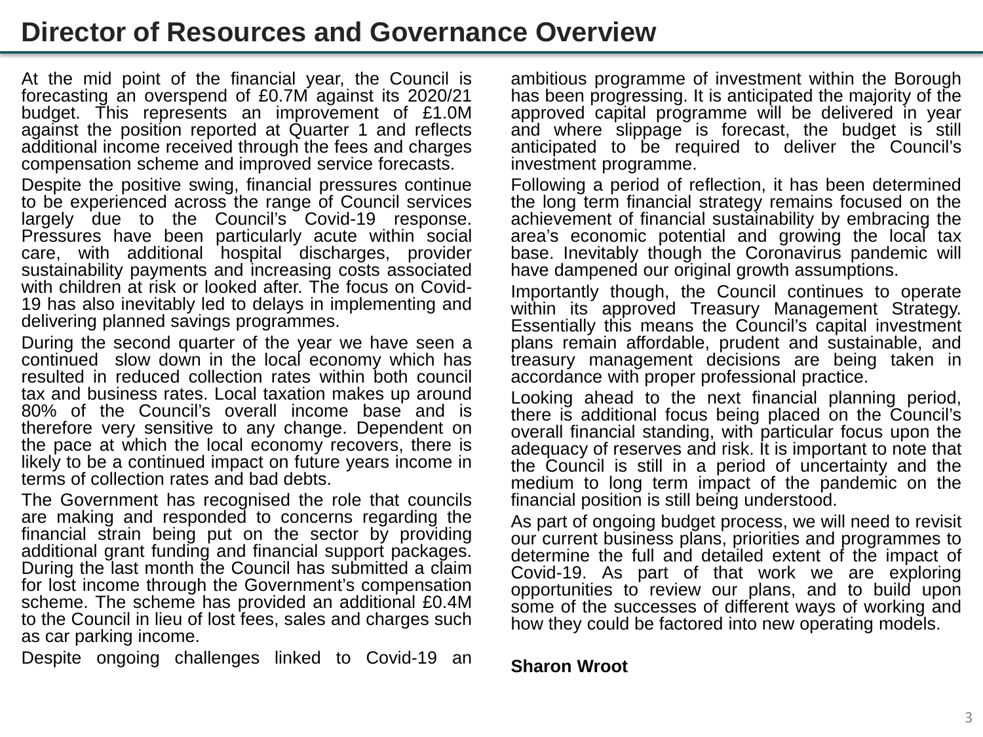# **Director of Resources and Governance Overview**

At the mid point of the financial year, the Council is forecasting an overspend of £0.7M against its 2020/21 budget. This represents an improvement of £1.0M against the position reported at Quarter 1 and reflects additional income received through the fees and charges compensation scheme and improved service forecasts.

Despite the positive swing, financial pressures continue to be experienced across the range of Council services largely due to the Council's Covid-19 response. Pressures have been particularly acute within social care, with additional hospital discharges, provider sustainability payments and increasing costs associated 19 has also inevitably led to delays in implementing and delivering planned savings programmes.

During the second quarter of the year we have seen a continued slow down in the local economy which has resulted in reduced collection rates within both council tax and business rates. Local taxation makes up around 80% of the Council's overall income base and is therefore very sensitive to any change. Dependent on the pace at which the local economy recovers, there is likely to be a continued impact on future years income in terms of collection rates and bad debts.

The Government has recognised the role that councils are making and responded to concerns regarding the financial strain being put on the sector by providing additional grant funding and financial support packages. During the last month the Council has submitted <sup>a</sup> claim for lost income through the Government's compensation scheme. The scheme has provided an additional £0.4M to the Council in lieu of lost fees, sales and charges such as car parking income.

Despite ongoing challenges linked to Covid-19 an

ambitious programme of investment within the Borough has been progressing. It is anticipated the majority of the approved capital programme will be delivered in year and where slippage is forecast, the budget is still anticipated to be required to deliver the Council's investment programme.

Following a period of reflection, it has been determined the long term financial strategy remains focused on the achievement of financial sustainability by embracing the area's economic potential and growing the local tax base. Inevitably though the Coronavirus pandemic will have dampened our original growth assumptions.

Importantly though, the Council continues to operate Essentially this means the Council's capital investment plans remain affordable, prudent and sustainable, and treasury management decisions are being taken in accordance with proper professional practice.

Looking ahead to the next financial planning period, there is additional focus being placed on the Council's overall financial standing, with particular focus upon the adequacy of reserves and risk. It is important to note that the Council is still in a period of uncertainty and the medium to long term impact of the pandemic on the financial position is still being understood.

As part of ongoing budget process, we will need to revisit our current business plans, priorities and programmes to determine the full and detailed extent of the impact of Covid-19. As part of that work we are exploring opportunities to review our plans, and to build upon some of the successes of different ways of working and how they could be factored into new operating models.

### **Sharon Wroot**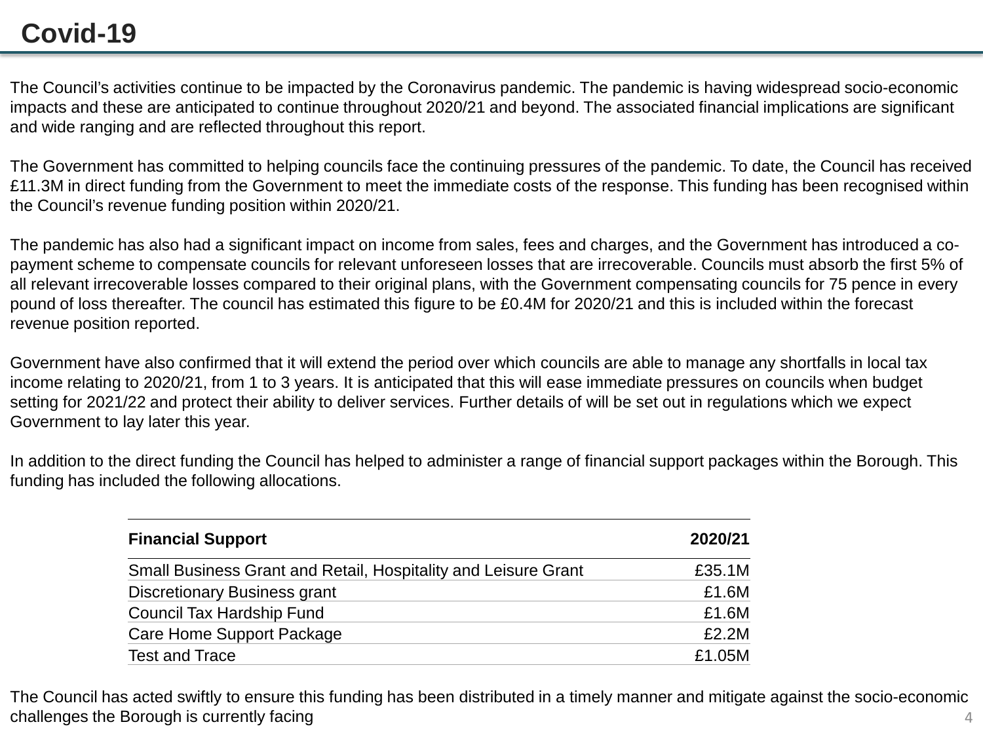# **Covid-19**

The Council's activities continue to be impacted by the Coronavirus pandemic. The pandemic is having widespread socio-economic impacts and these are anticipated to continue throughout 2020/21 and beyond. The associated financial implications are significant and wide ranging and are reflected throughout this report.

The Government has committed to helping councils face the continuing pressures of the pandemic. To date, the Council has received £11.3M in direct funding from the Government to meet the immediate costs of the response. This funding has been recognised within the Council's revenue funding position within 2020/21.

The pandemic has also had a significant impact on income from sales, fees and charges, and the Government has introduced a copayment scheme to compensate councils for relevant unforeseen losses that are irrecoverable. Councils must absorb the first 5% of all relevant irrecoverable losses compared to their original plans, with the Government compensating councils for 75 pence in every pound of loss thereafter. The council has estimated this figure to be £0.4M for 2020/21 and this is included within the forecast revenue position reported.

Government have also confirmed that it will extend the period over which councils are able to manage any shortfalls in local tax income relating to 2020/21, from 1 to 3 years. It is anticipated that this will ease immediate pressures on councils when budget setting for 2021/22 and protect their ability to deliver services. Further details of will be set out in regulations which we expect Government to lay later this year.

In addition to the direct funding the Council has helped to administer a range of financial support packages within the Borough. This funding has included the following allocations.

| <b>Financial Support</b>                                       | 2020/21 |
|----------------------------------------------------------------|---------|
| Small Business Grant and Retail, Hospitality and Leisure Grant | £35.1M  |
| <b>Discretionary Business grant</b>                            | £1.6M   |
| Council Tax Hardship Fund                                      | £1.6M   |
| Care Home Support Package                                      | £2.2M   |
| <b>Test and Trace</b>                                          | £1.05M  |

4 The Council has acted swiftly to ensure this funding has been distributed in a timely manner and mitigate against the socio-economic challenges the Borough is currently facing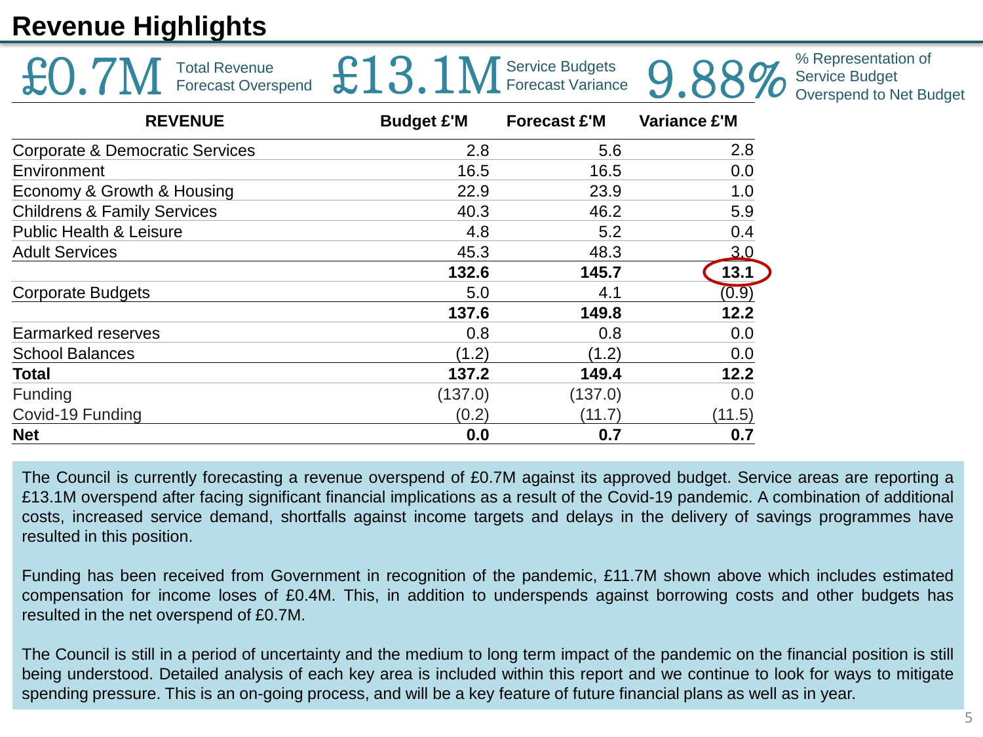# **Revenue Highlights**

| <b>Total Revenue</b><br><b>Forecast Overspend</b> | £13.              | Service Budgets<br>Forecast Variance |                     | % Representation of<br><b>Service Budget</b><br>Overspend to Net Budget |
|---------------------------------------------------|-------------------|--------------------------------------|---------------------|-------------------------------------------------------------------------|
| <b>REVENUE</b>                                    | <b>Budget £'M</b> | <b>Forecast £'M</b>                  | <b>Variance £'M</b> |                                                                         |
| Corporate & Democratic Services                   | 2.8               | 5.6                                  | 2.8                 |                                                                         |
| Environment                                       | 16.5              | 16.5                                 | 0.0                 |                                                                         |
| Economy & Growth & Housing                        | 22.9              | 23.9                                 | 1.0                 |                                                                         |
| <b>Childrens &amp; Family Services</b>            | 40.3              | 46.2                                 | 5.9                 |                                                                         |
| <b>Public Health &amp; Leisure</b>                | 4.8               | 5.2                                  | 0.4                 |                                                                         |
| <b>Adult Services</b>                             | 45.3              | 48.3                                 | 3.0                 |                                                                         |
|                                                   | 132.6             | 145.7                                | 13.1                |                                                                         |
| <b>Corporate Budgets</b>                          | 5.0               | 4.1                                  | (0.9)               |                                                                         |
|                                                   | 137.6             | 149.8                                | 12.2                |                                                                         |
| Earmarked reserves                                | 0.8               | 0.8                                  | 0.0                 |                                                                         |
| <b>School Balances</b>                            | (1.2)             | (1.2)                                | 0.0                 |                                                                         |
| <b>Total</b>                                      | 137.2             | 149.4                                | 12.2                |                                                                         |
| Funding                                           | (137.0)           | (137.0)                              | 0.0                 |                                                                         |
| Covid-19 Funding                                  | (0.2)             | (11.7)                               | (11.5)              |                                                                         |
| <b>Net</b>                                        | 0.0               | 0.7                                  | 0.7                 |                                                                         |

The Council is currently forecasting a revenue overspend of £0.7M against its approved budget. Service areas are reporting a £13.1M overspend after facing significant financial implications as a result of the Covid-19 pandemic. A combination of additional costs, increased service demand, shortfalls against income targets and delays in the delivery of savings programmes have resulted in this position.

Funding has been received from Government in recognition of the pandemic, £11.7M shown above which includes estimated compensation for income loses of £0.4M. This, in addition to underspends against borrowing costs and other budgets has resulted in the net overspend of £0.7M.

The Council is still in a period of uncertainty and the medium to long term impact of the pandemic on the financial position is still being understood. Detailed analysis of each key area is included within this report and we continue to look for ways to mitigate spending pressure. This is an on-going process, and will be a key feature of future financial plans as well as in year.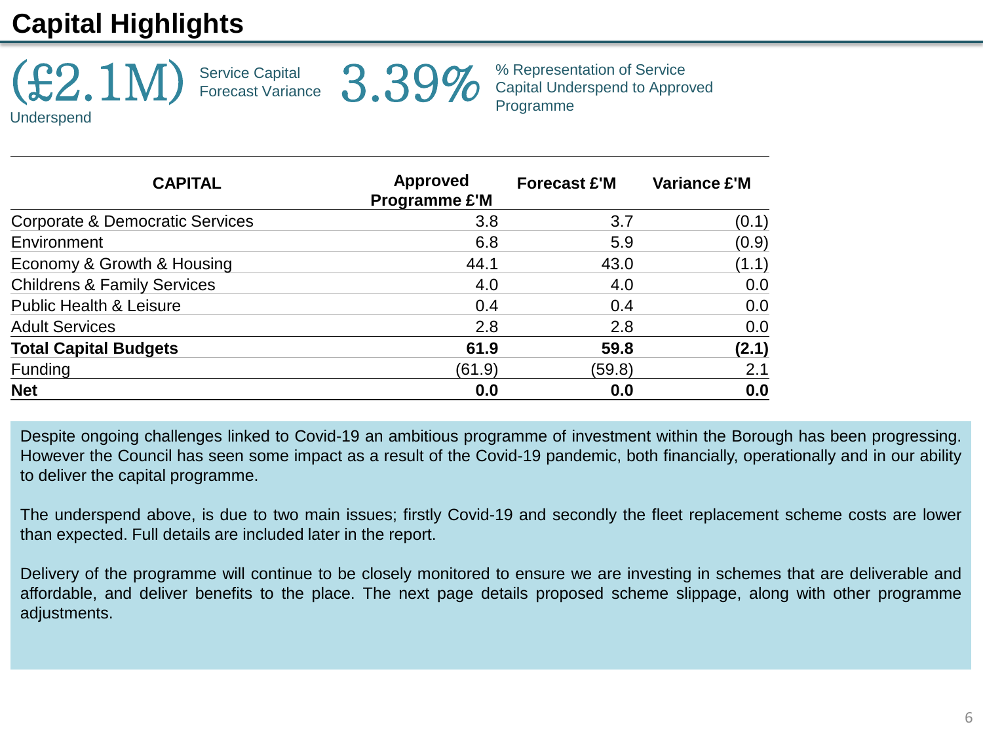# **Capital Highlights**



% Representation of Service 3.39% <sup>% Representation of Service</sup><br>Programme

**CAPITAL Approved Programme £'M Forecast £'M Variance £'M** Corporate & Democratic Services 6 1 2.8 3.8 3.7 (0.1) Environment 6.8 5.9 (0.9) Economy & Growth & Housing  $44.1$   $43.0$   $(1.1)$ Childrens & Family Services **4.0** 4.0 4.0 6.0 Public Health & Leisure 0.4 0.0 0.4 0.0 Adult Services 2.8 2.8 0.0 **Total Capital Budgets 61.9 59.8 (2.1)** Funding (61.9) (59.8) 2.1 **Net 0.0 0.0 0.0**

Despite ongoing challenges linked to Covid-19 an ambitious programme of investment within the Borough has been progressing. However the Council has seen some impact as a result of the Covid-19 pandemic, both financially, operationally and in our ability to deliver the capital programme.

The underspend above, is due to two main issues; firstly Covid-19 and secondly the fleet replacement scheme costs are lower than expected. Full details are included later in the report.

Delivery of the programme will continue to be closely monitored to ensure we are investing in schemes that are deliverable and affordable, and deliver benefits to the place. The next page details proposed scheme slippage, along with other programme adjustments.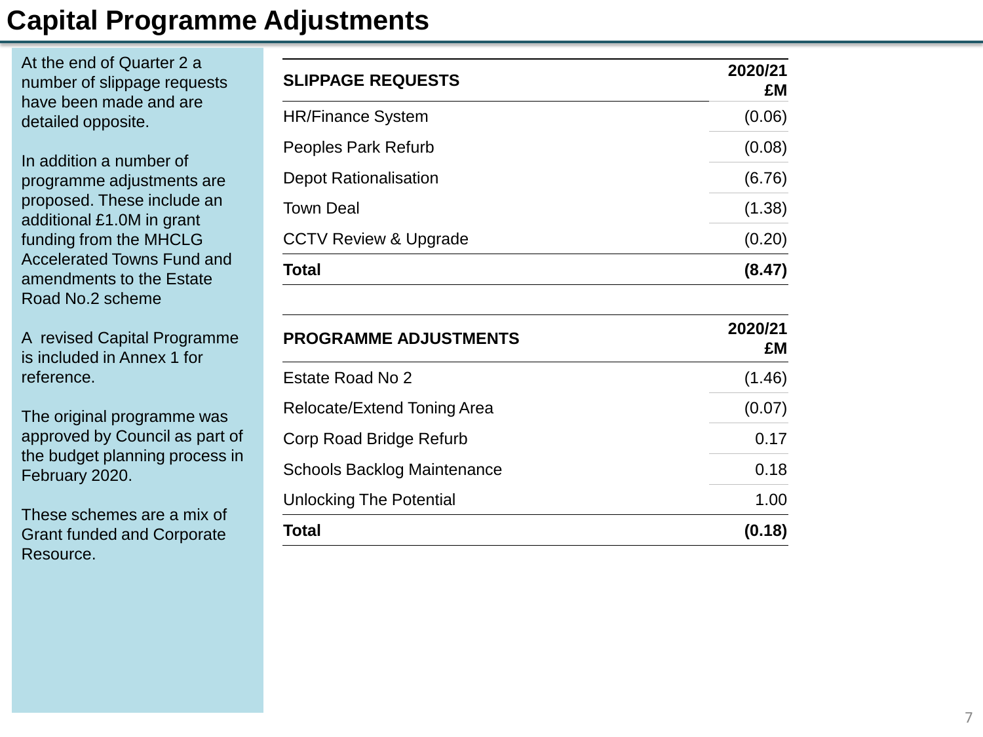# **Capital Programme Adjustments**

At the end of Quarter 2 a number of slippage requests have been made and are detailed opposite.

In addition a number of programme adjustments are proposed. These include an additional £1.0M in grant funding from the MHCLG Accelerated Towns Fund and amendments to the Estate Road No.2 scheme

A revised Capital Programme is included in Annex 1 for reference.

The original programme was approved by Council as part of the budget planning process in February 2020.

These schemes are a mix of Grant funded and Corporate Resource.

| <b>SLIPPAGE REQUESTS</b>         | 2020/21<br>£M |
|----------------------------------|---------------|
| <b>HR/Finance System</b>         | (0.06)        |
| Peoples Park Refurb              | (0.08)        |
| <b>Depot Rationalisation</b>     | (6.76)        |
| <b>Town Deal</b>                 | (1.38)        |
| <b>CCTV Review &amp; Upgrade</b> | (0.20)        |
| <b>Total</b>                     | (8.47)        |

| <b>PROGRAMME ADJUSTMENTS</b>       | 2020/21<br>£M |
|------------------------------------|---------------|
| Estate Road No 2                   | (1.46)        |
| Relocate/Extend Toning Area        | (0.07)        |
| Corp Road Bridge Refurb            | 0.17          |
| <b>Schools Backlog Maintenance</b> | 0.18          |
| <b>Unlocking The Potential</b>     | 1.00          |
| Total                              | (0.18)        |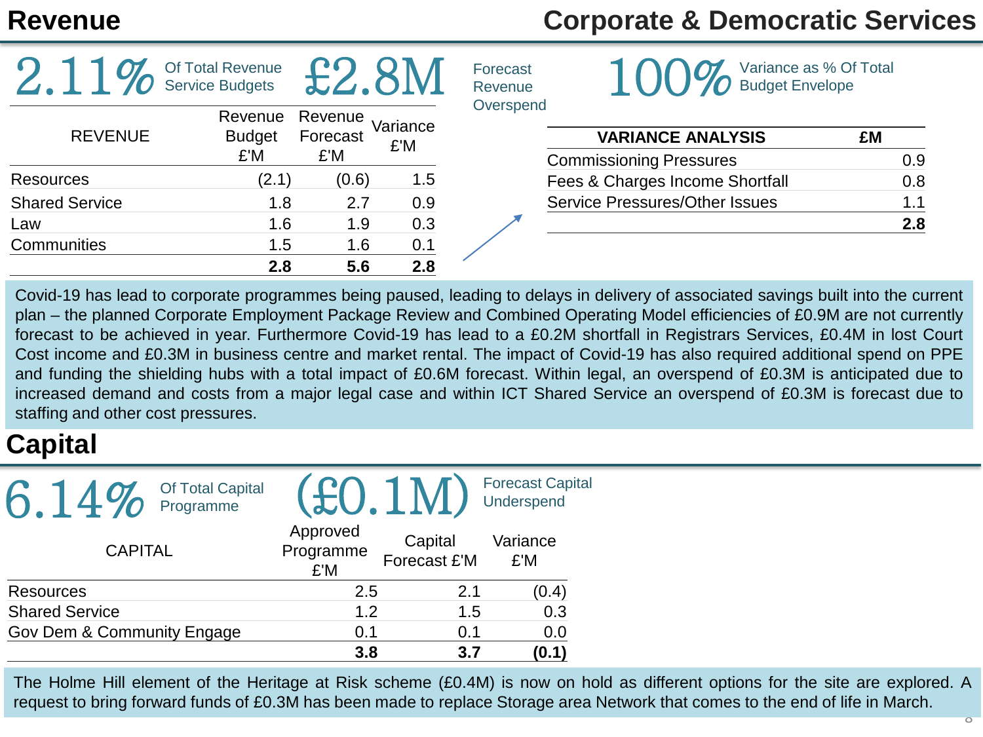# **Revenue Corporate & Democratic Services**

|                       | Of Total Revenue<br><b>Service Budgets</b> |                            |                 | Forecast<br>Revenue | Variance as % Of Total<br><b>Budget Envelope</b>           |           |
|-----------------------|--------------------------------------------|----------------------------|-----------------|---------------------|------------------------------------------------------------|-----------|
| <b>REVENUE</b>        | Revenue<br><b>Budget</b><br>£'M            | Revenue<br>Forecast<br>£'M | Variance<br>£'M | Overspend           | <b>VARIANCE ANALYSIS</b><br><b>Commissioning Pressures</b> | £M<br>0.9 |
| <b>Resources</b>      | (2.1)                                      | (0.6)                      | 1.5             |                     | Fees & Charges Income Shortfall                            | 0.8       |
| <b>Shared Service</b> | 1.8                                        | 2.7                        | 0.9             |                     | <b>Service Pressures/Other Issues</b>                      | 1.1       |
| Law                   | 1.6                                        | 1.9                        | 0.3             |                     |                                                            | 2.8       |
| <b>Communities</b>    | 1.5                                        | 1.6                        | 0.1             |                     |                                                            |           |
|                       | 2.8                                        | 5.6                        | 2.8             |                     |                                                            |           |

Covid-19 has lead to corporate programmes being paused, leading to delays in delivery of associated savings built into the current plan – the planned Corporate Employment Package Review and Combined Operating Model efficiencies of £0.9M are not currently forecast to be achieved in year. Furthermore Covid-19 has lead to a £0.2M shortfall in Registrars Services, £0.4M in lost Court Cost income and £0.3M in business centre and market rental. The impact of Covid-19 has also required additional spend on PPE and funding the shielding hubs with a total impact of £0.6M forecast. Within legal, an overspend of £0.3M is anticipated due to increased demand and costs from a major legal case and within ICT Shared Service an overspend of £0.3M is forecast due to staffing and other cost pressures.

# **Capital**

| Of Total Capital<br>$\boldsymbol{\Lambda} \boldsymbol{Q}$<br>Programme |                              |                         | <b>Forecast Capital</b><br>Underspend |
|------------------------------------------------------------------------|------------------------------|-------------------------|---------------------------------------|
| <b>CAPITAL</b>                                                         | Approved<br>Programme<br>£'M | Capital<br>Forecast £'M | Variance<br>£'M                       |
| Resources                                                              | 2.5                          | 2.1                     | (0.4)                                 |
| <b>Shared Service</b>                                                  | 1.2                          | 1.5                     | 0.3                                   |
| Gov Dem & Community Engage                                             | 0.1                          | 0.1                     | 0.0                                   |
|                                                                        | 3.8                          | 3.7                     | (0.1)                                 |

The Holme Hill element of the Heritage at Risk scheme (£0.4M) is now on hold as different options for the site are explored. A request to bring forward funds of £0.3M has been made to replace Storage area Network that comes to the end of life in March.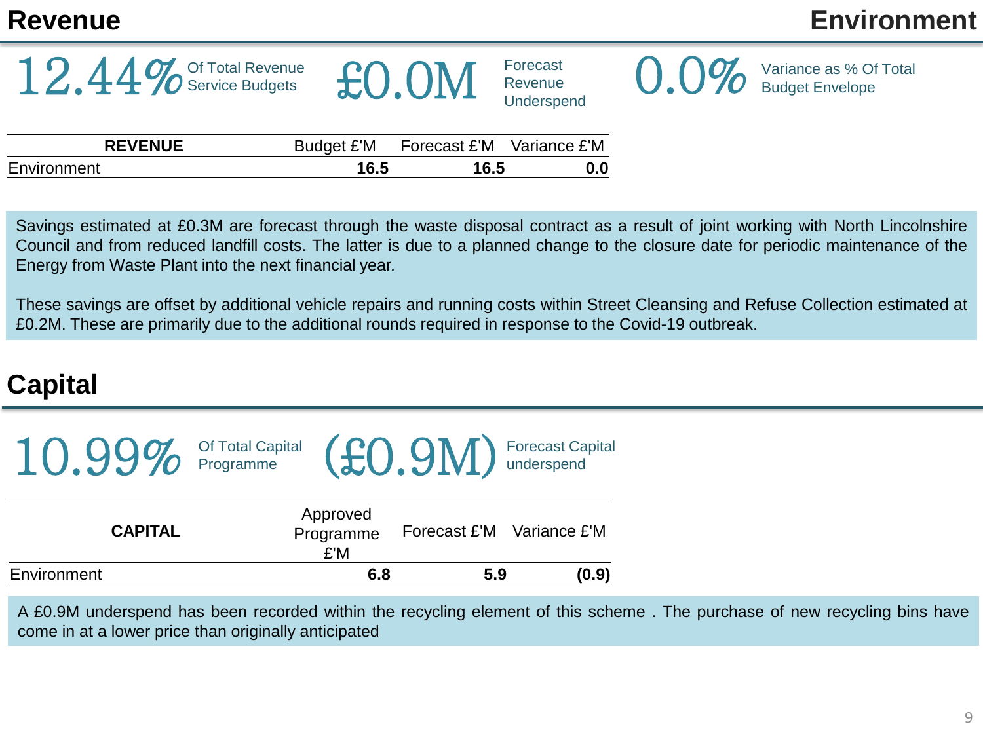# **Revenue Environment**

12.44% Of Total Revenue

|       | Forecast   |
|-------|------------|
| £0.0M | Revenue    |
|       | Underspend |



 $\bigcup_{\alpha} \bigcup_{\alpha} \bigvee_{\beta}$  Variance as % Of Total

| <b>REVENUE</b><br>Budget £'M | Forecast £'M Variance £'M |     |
|------------------------------|---------------------------|-----|
| Environment<br>16.5          | 16.5                      | 0.0 |

Savings estimated at £0.3M are forecast through the waste disposal contract as a result of joint working with North Lincolnshire Council and from reduced landfill costs. The latter is due to a planned change to the closure date for periodic maintenance of the Energy from Waste Plant into the next financial year.

These savings are offset by additional vehicle repairs and running costs within Street Cleansing and Refuse Collection estimated at £0.2M. These are primarily due to the additional rounds required in response to the Covid-19 outbreak.

# **Capital**

| $10.99\%$ Of Total Capital $(60.9M)$ Forecast Capital |                              |     |                           |
|-------------------------------------------------------|------------------------------|-----|---------------------------|
| <b>CAPITAL</b>                                        | Approved<br>Programme<br>£'M |     | Forecast £'M Variance £'M |
| Environment                                           | 6.8                          | 5.9 | (0.9)                     |

A £0.9M underspend has been recorded within the recycling element of this scheme . The purchase of new recycling bins have come in at a lower price than originally anticipated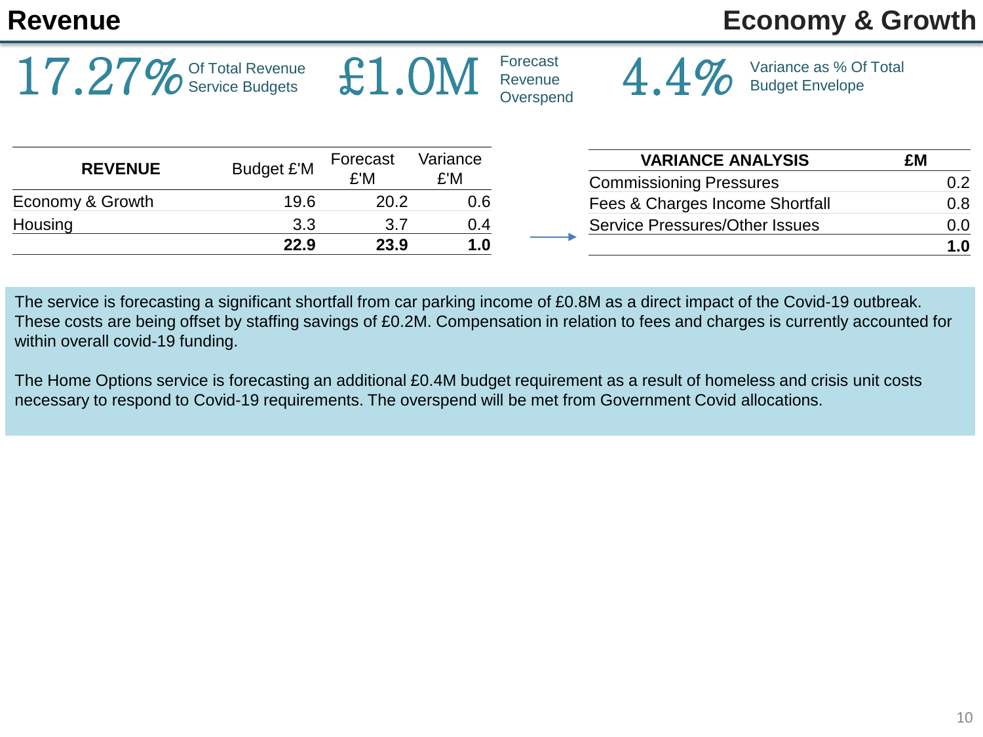$17.27\%$  Of Total Revenue

# **Revenue Economy & Growth**

| <b>REVENUE</b>   | Budget £'M | Forecast<br>£'M | Variance<br>£'M |
|------------------|------------|-----------------|-----------------|
| Economy & Growth | 19.6       | 20.2            | 0.6             |
| Housing          | 3.3        | 3.7             | 0.4             |
|                  | 22.9       | 23.9            | 1.0             |

| <b>VARIANCE ANALYSIS</b>              | £M  |
|---------------------------------------|-----|
| <b>Commissioning Pressures</b>        | 0 2 |
| Fees & Charges Income Shortfall       | 0.8 |
| <b>Service Pressures/Other Issues</b> | 0.O |
|                                       | 1 በ |

4.4% Variance as % Of Total

The service is forecasting a significant shortfall from car parking income of £0.8M as a direct impact of the Covid-19 outbreak. These costs are being offset by staffing savings of £0.2M. Compensation in relation to fees and charges is currently accounted for within overall covid-19 funding.

Forecast

The Home Options service is forecasting an additional £0.4M budget requirement as a result of homeless and crisis unit costs necessary to respond to Covid-19 requirements. The overspend will be met from Government Covid allocations.

 $\pounds1.0M$   $\text{Forecast}$   $\text{OPersoned}$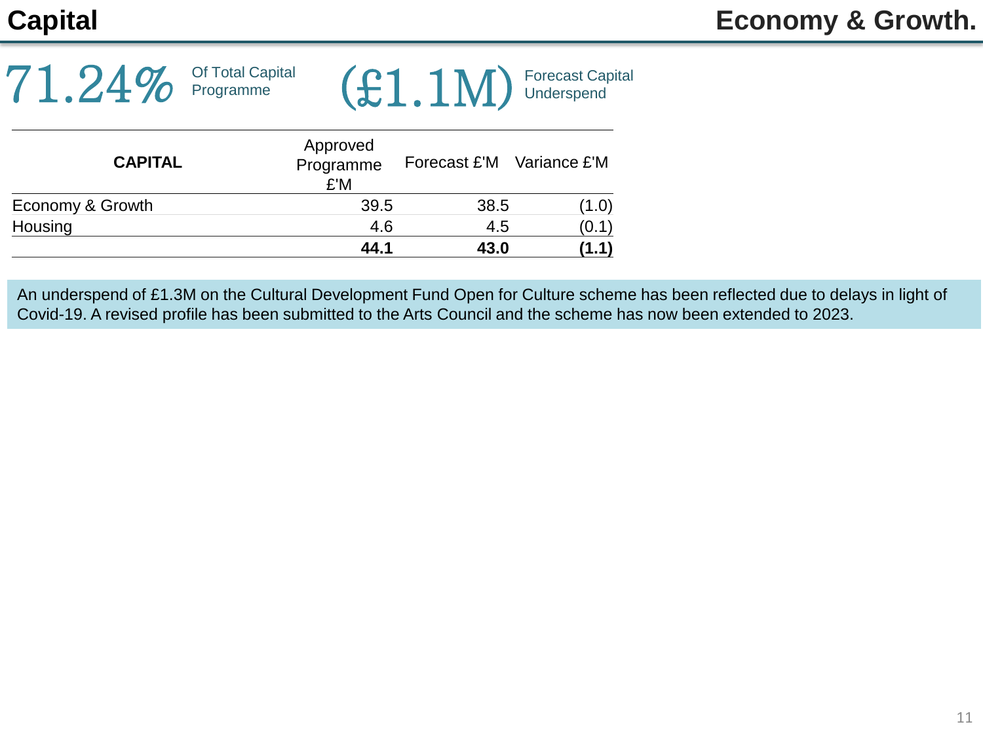| $71.24\%$ <sup>Of Total Capital</sup> |  | $(E1.1M)$ Forecast Capital |  |
|---------------------------------------|--|----------------------------|--|
|---------------------------------------|--|----------------------------|--|

| <b>CAPITAL</b>   | Approved<br>Programme<br>£'M | Forecast £'M Variance £'M |       |
|------------------|------------------------------|---------------------------|-------|
| Economy & Growth | 39.5                         | 38.5                      | (1.0) |
| Housing          | 4.6                          | 4.5                       | (0.1) |
|                  | 44.1                         | 43.0                      | (1.1) |

An underspend of £1.3M on the Cultural Development Fund Open for Culture scheme has been reflected due to delays in light of Covid-19. A revised profile has been submitted to the Arts Council and the scheme has now been extended to 2023.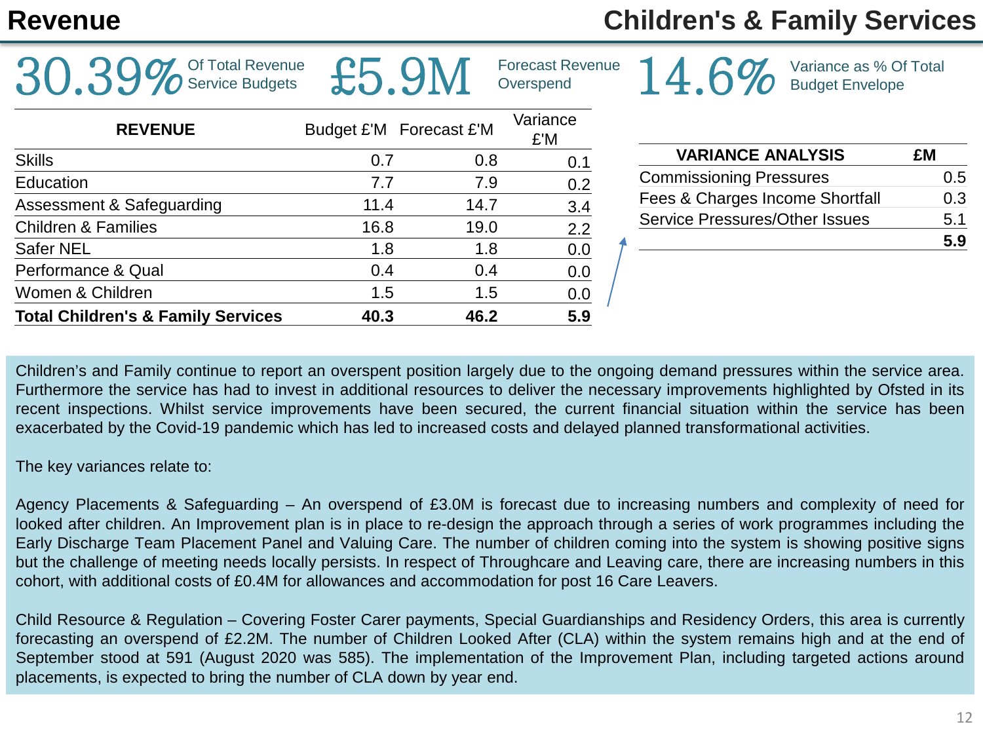$30.39\%$  Of Total Revenue

# **Revenue Children's & Family Services**

14.6% Variance as % Of Total

|                                               | ____ |                         |                 |  |  |
|-----------------------------------------------|------|-------------------------|-----------------|--|--|
| <b>REVENUE</b>                                |      | Budget £'M Forecast £'M | Variance<br>£'M |  |  |
| <b>Skills</b>                                 | 0.7  | 0.8                     | 0.1             |  |  |
| Education                                     | 7.7  | 7.9                     | 0.2             |  |  |
| Assessment & Safeguarding                     | 11.4 | 14.7                    | 3.4             |  |  |
| <b>Children &amp; Families</b>                | 16.8 | 19.0                    | 2.2             |  |  |
| Safer NEL                                     | 1.8  | 1.8                     | 0.0             |  |  |
| Performance & Qual                            | 0.4  | 0.4                     | 0.0             |  |  |
| Women & Children                              | 1.5  | 1.5                     | 0.0             |  |  |
| <b>Total Children's &amp; Family Services</b> | 40.3 | 46.2                    | 5.9             |  |  |

| <b>VARIANCE ANALYSIS</b>              | £Μ   |
|---------------------------------------|------|
| <b>Commissioning Pressures</b>        | 0.5  |
| Fees & Charges Income Shortfall       | 0.3  |
| <b>Service Pressures/Other Issues</b> | 5.1  |
|                                       | .5 9 |

Children's and Family continue to report an overspent position largely due to the ongoing demand pressures within the service area. Furthermore the service has had to invest in additional resources to deliver the necessary improvements highlighted by Ofsted in its recent inspections. Whilst service improvements have been secured, the current financial situation within the service has been exacerbated by the Covid-19 pandemic which has led to increased costs and delayed planned transformational activities.

Forecast Revenue £5.9M Overspend

The key variances relate to:

Agency Placements & Safeguarding – An overspend of £3.0M is forecast due to increasing numbers and complexity of need for looked after children. An Improvement plan is in place to re-design the approach through a series of work programmes including the Early Discharge Team Placement Panel and Valuing Care. The number of children coming into the system is showing positive signs but the challenge of meeting needs locally persists. In respect of Throughcare and Leaving care, there are increasing numbers in this cohort, with additional costs of £0.4M for allowances and accommodation for post 16 Care Leavers.

Child Resource & Regulation – Covering Foster Carer payments, Special Guardianships and Residency Orders, this area is currently forecasting an overspend of £2.2M. The number of Children Looked After (CLA) within the system remains high and at the end of September stood at 591 (August 2020 was 585). The implementation of the Improvement Plan, including targeted actions around placements, is expected to bring the number of CLA down by year end.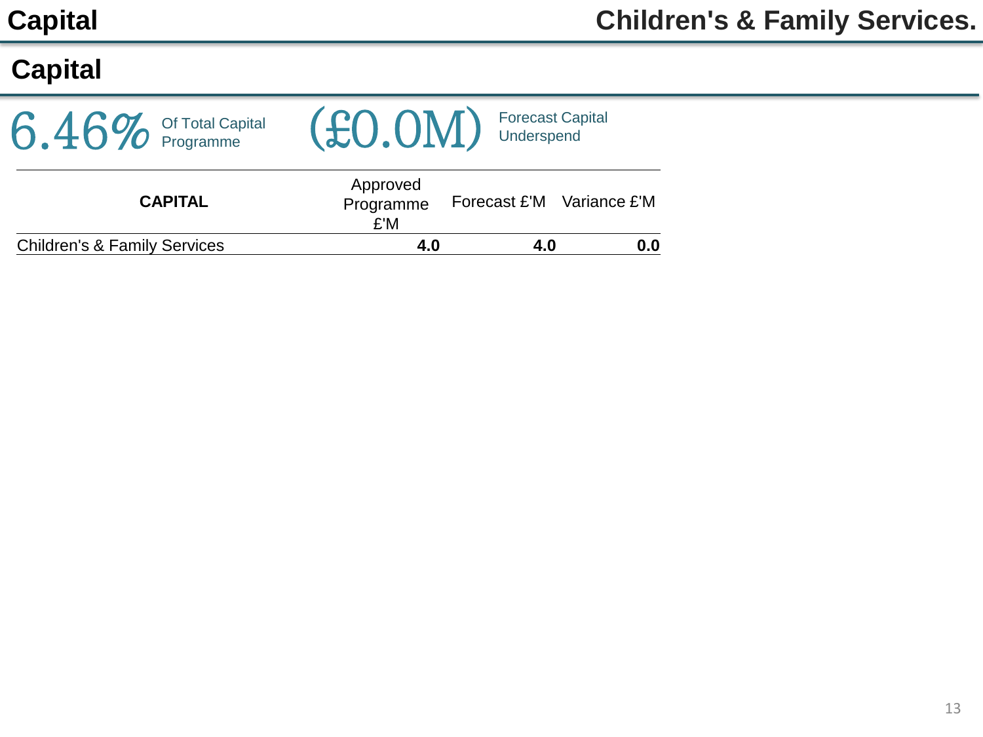# **Capital**

| $6.46\%$ Of Total Capital               | (£0.0M)                      | Forecast Capital<br>J Underspend |
|-----------------------------------------|------------------------------|----------------------------------|
| <b>CAPITAL</b>                          | Approved<br>Programme<br>£'M | Forecast £'M Variance £'M        |
| <b>Children's &amp; Family Services</b> | 4.0                          | 0.0<br>4.0                       |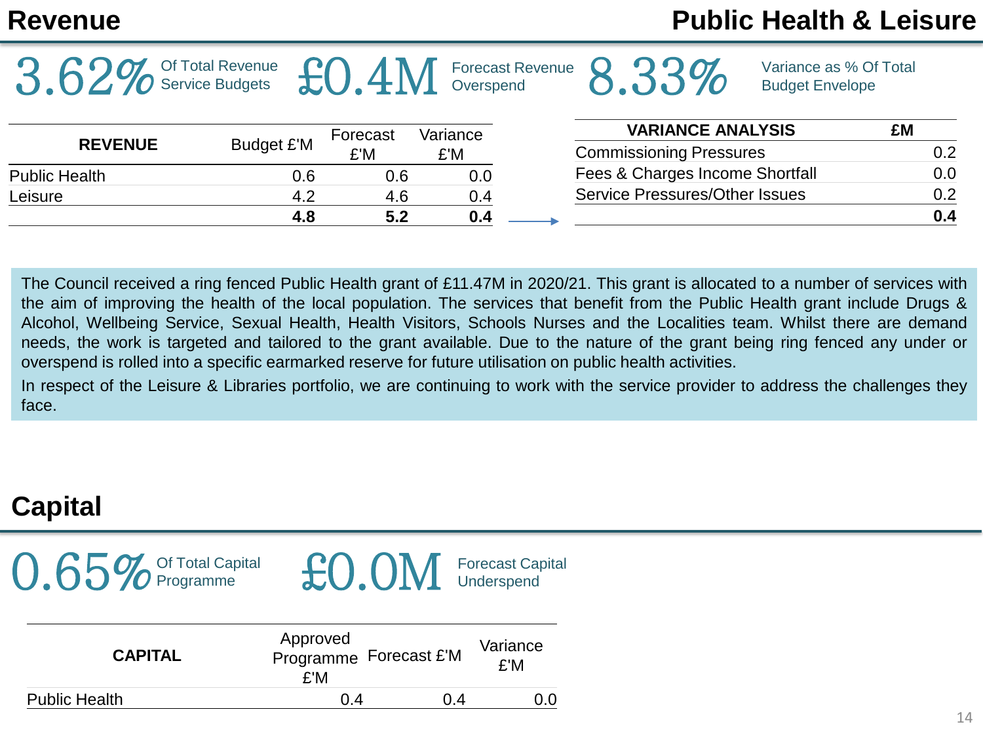|                      | Of Total Revenue<br><b>Service Budgets</b> |          | Overspend | <b>Forecast Revenue</b> |                                       | Variance as % Of Total<br><b>Budget Envelope</b> |     |
|----------------------|--------------------------------------------|----------|-----------|-------------------------|---------------------------------------|--------------------------------------------------|-----|
|                      |                                            | Forecast | Variance  |                         | <b>VARIANCE ANALYSIS</b>              |                                                  | £M  |
| <b>REVENUE</b>       | Budget £'M                                 | £'M      | £'M       |                         | <b>Commissioning Pressures</b>        |                                                  | 0.2 |
| <b>Public Health</b> | 0.6                                        | 0.6      | 0.0       |                         | Fees & Charges Income Shortfall       |                                                  | 0.0 |
| Leisure              | 4.2                                        | 4.6      | 0.4       |                         | <b>Service Pressures/Other Issues</b> |                                                  | 0.2 |
|                      | 4.8                                        | 5.2      | 0.4       |                         |                                       |                                                  | 0.4 |
|                      |                                            |          |           |                         |                                       |                                                  |     |

The Council received a ring fenced Public Health grant of £11.47M in 2020/21. This grant is allocated to a number of services with the aim of improving the health of the local population. The services that benefit from the Public Health grant include Drugs & Alcohol, Wellbeing Service, Sexual Health, Health Visitors, Schools Nurses and the Localities team. Whilst there are demand needs, the work is targeted and tailored to the grant available. Due to the nature of the grant being ring fenced any under or overspend is rolled into a specific earmarked reserve for future utilisation on public health activities.

In respect of the Leisure & Libraries portfolio, we are continuing to work with the service provider to address the challenges they face.

# **Capital**

 $0.65\%$  Of Total Capital



| <b>CAPITAL</b>       | Approved<br>Programme Forecast £'M<br>£'M |     | Variance<br>£'M |
|----------------------|-------------------------------------------|-----|-----------------|
| <b>Public Health</b> | 0.4                                       | በ 4 |                 |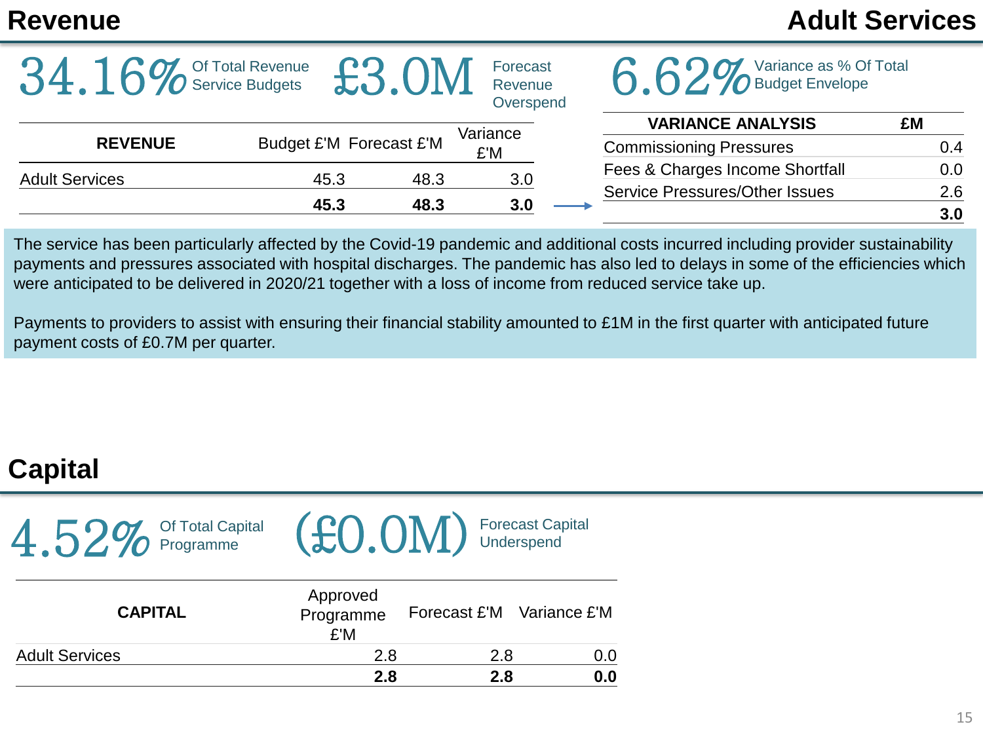# **Revenue Adult Services**

| 34.16                 | <b>To Service Budgets</b> |                         | Forecast<br>Revenue<br>Overspend | Variance as % Of Total<br><b>O</b> Budget Envelope         |            |
|-----------------------|---------------------------|-------------------------|----------------------------------|------------------------------------------------------------|------------|
| <b>REVENUE</b>        |                           | Budget £'M Forecast £'M | Variance                         | <b>VARIANCE ANALYSIS</b><br><b>Commissioning Pressures</b> | £M<br>0.4  |
| <b>Adult Services</b> | 45.3                      | 48.3                    | £'M<br>3.0                       | Fees & Charges Income Shortfall                            | 0.0        |
|                       | 45.3                      | 48.3                    | 3.0                              | <b>Service Pressures/Other Issues</b>                      | 2.6<br>3.0 |

The service has been particularly affected by the Covid-19 pandemic and additional costs incurred including provider sustainability payments and pressures associated with hospital discharges. The pandemic has also led to delays in some of the efficiencies which were anticipated to be delivered in 2020/21 together with a loss of income from reduced service take up.

Payments to providers to assist with ensuring their financial stability amounted to £1M in the first quarter with anticipated future payment costs of £0.7M per quarter.

# **Capital**

| $4.52\%$ Of Total Capital |  |
|---------------------------|--|
|---------------------------|--|



| <b>CAPITAL</b>        | Approved<br>Programme<br>£'M | Forecast £'M Variance £'M |     |
|-----------------------|------------------------------|---------------------------|-----|
| <b>Adult Services</b> | 2.8                          | 2.8                       | 0.0 |
|                       | 2.8                          | 2.8                       | 0.0 |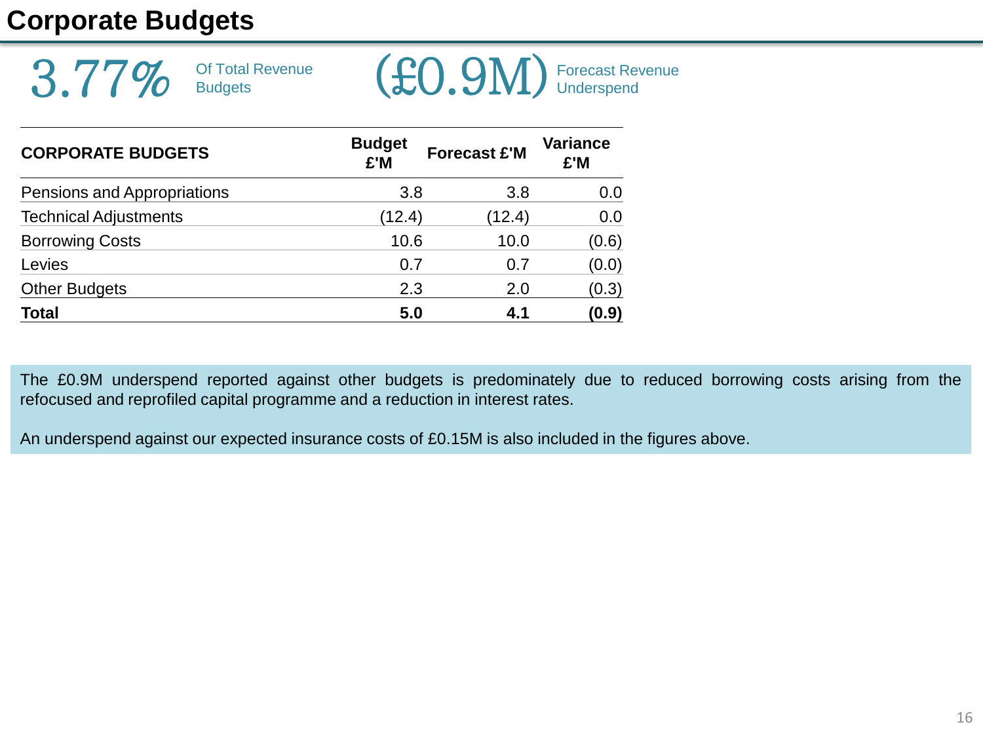# **Corporate Budgets**



| <b>CORPORATE BUDGETS</b>     | <b>Budget</b><br>£'M | <b>Forecast £'M</b> | <b>Variance</b><br>£'M |
|------------------------------|----------------------|---------------------|------------------------|
| Pensions and Appropriations  | 3.8                  | 3.8                 | 0.0                    |
| <b>Technical Adjustments</b> | (12.4)               | (12.4)              | 0.0                    |
| <b>Borrowing Costs</b>       | 10.6                 | 10.0                | (0.6)                  |
| Levies                       | 0.7                  | 0.7                 | (0.0)                  |
| <b>Other Budgets</b>         | 2.3                  | 2.0                 | (0.3)                  |
| <b>Total</b>                 | 5.0                  | 4.1                 | (0.9)                  |

The £0.9M underspend reported against other budgets is predominately due to reduced borrowing costs arising from the refocused and reprofiled capital programme and a reduction in interest rates.

An underspend against our expected insurance costs of £0.15M is also included in the figures above.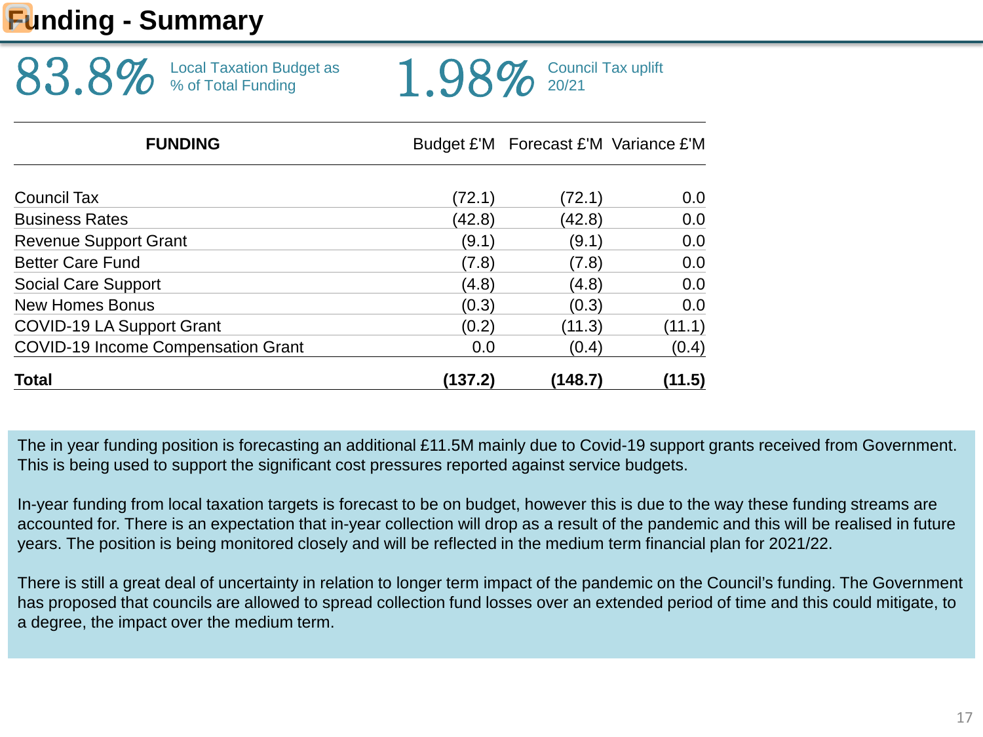# **Funding - Summary**

| <b>FUNDING</b>                 | Budget £'M Forecast £'M Variance £'M |
|--------------------------------|--------------------------------------|
| 83.8% Local Taxation Budget as | $1.98\%$ Council Tax uplift          |

| <b>Total</b>                              | (137.2) | (148.7) | (11.5) |
|-------------------------------------------|---------|---------|--------|
| <b>COVID-19 Income Compensation Grant</b> | 0.0     | (0.4)   | (0.4)  |
| <b>COVID-19 LA Support Grant</b>          | (0.2)   | (11.3)  | (11.1) |
| <b>New Homes Bonus</b>                    | (0.3)   | (0.3)   | 0.0    |
| <b>Social Care Support</b>                | (4.8)   | (4.8)   | 0.0    |
| <b>Better Care Fund</b>                   | (7.8)   | (7.8)   | 0.0    |
| <b>Revenue Support Grant</b>              | (9.1)   | (9.1)   | 0.0    |
| <b>Business Rates</b>                     | (42.8)  | (42.8)  | 0.0    |
| Council Tax                               | (72.1)  | (72.1)  | 0.0    |

The in year funding position is forecasting an additional £11.5M mainly due to Covid-19 support grants received from Government. This is being used to support the significant cost pressures reported against service budgets.

In-year funding from local taxation targets is forecast to be on budget, however this is due to the way these funding streams are accounted for. There is an expectation that in-year collection will drop as a result of the pandemic and this will be realised in future years. The position is being monitored closely and will be reflected in the medium term financial plan for 2021/22.

There is still a great deal of uncertainty in relation to longer term impact of the pandemic on the Council's funding. The Government has proposed that councils are allowed to spread collection fund losses over an extended period of time and this could mitigate, to a degree, the impact over the medium term.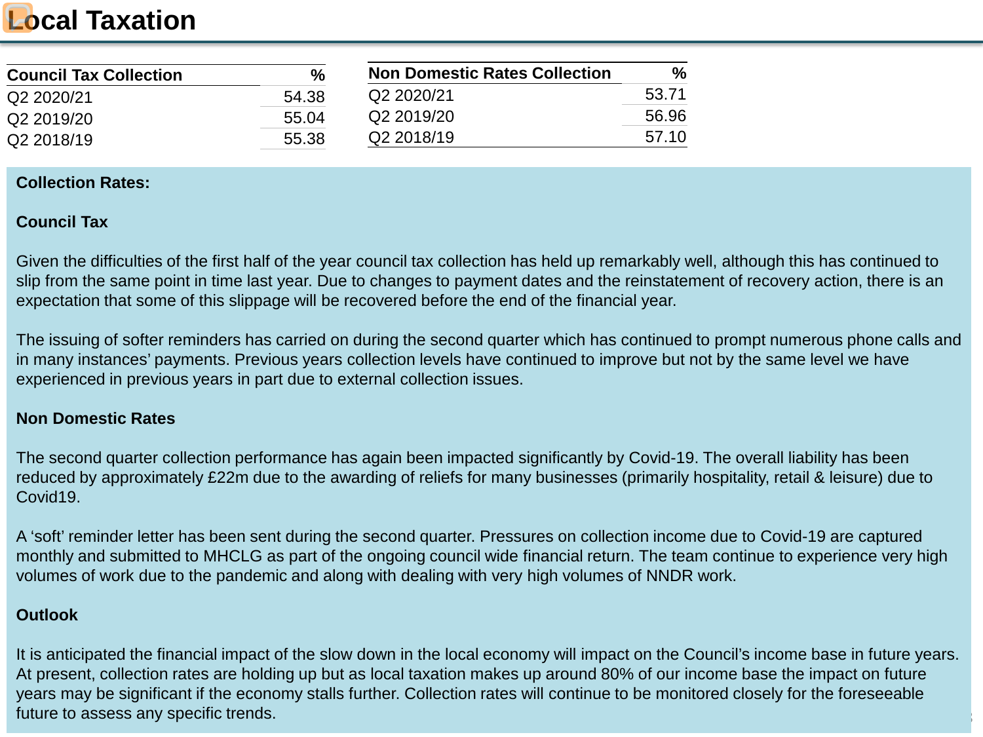# **Local Taxation**

| <b>Council Tax Collection</b> | $\frac{0}{0}$ | <b>Non Domestic Rates Collection</b> | %     |
|-------------------------------|---------------|--------------------------------------|-------|
| Q2 2020/21                    | 54.38         | Q2 2020/21                           | 53.71 |
| Q2 2019/20                    | 55.04         | Q2 2019/20                           | 56.96 |
| Q2 2018/19                    | 55.38         | Q2 2018/19                           | 57.10 |

### **Collection Rates:**

### **Council Tax**

Given the difficulties of the first half of the year council tax collection has held up remarkably well, although this has continued to slip from the same point in time last year. Due to changes to payment dates and the reinstatement of recovery action, there is an expectation that some of this slippage will be recovered before the end of the financial year.

The issuing of softer reminders has carried on during the second quarter which has continued to prompt numerous phone calls and in many instances' payments. Previous years collection levels have continued to improve but not by the same level we have experienced in previous years in part due to external collection issues.

### **Non Domestic Rates**

The second quarter collection performance has again been impacted significantly by Covid-19. The overall liability has been reduced by approximately £22m due to the awarding of reliefs for many businesses (primarily hospitality, retail & leisure) due to Covid19.

A 'soft' reminder letter has been sent during the second quarter. Pressures on collection income due to Covid-19 are captured monthly and submitted to MHCLG as part of the ongoing council wide financial return. The team continue to experience very high volumes of work due to the pandemic and along with dealing with very high volumes of NNDR work.

### **Outlook**

It is anticipated the financial impact of the slow down in the local economy will impact on the Council's income base in future years. At present, collection rates are holding up but as local taxation makes up around 80% of our income base the impact on future years may be significant if the economy stalls further. Collection rates will continue to be monitored closely for the foreseeable future to assess any specific trends.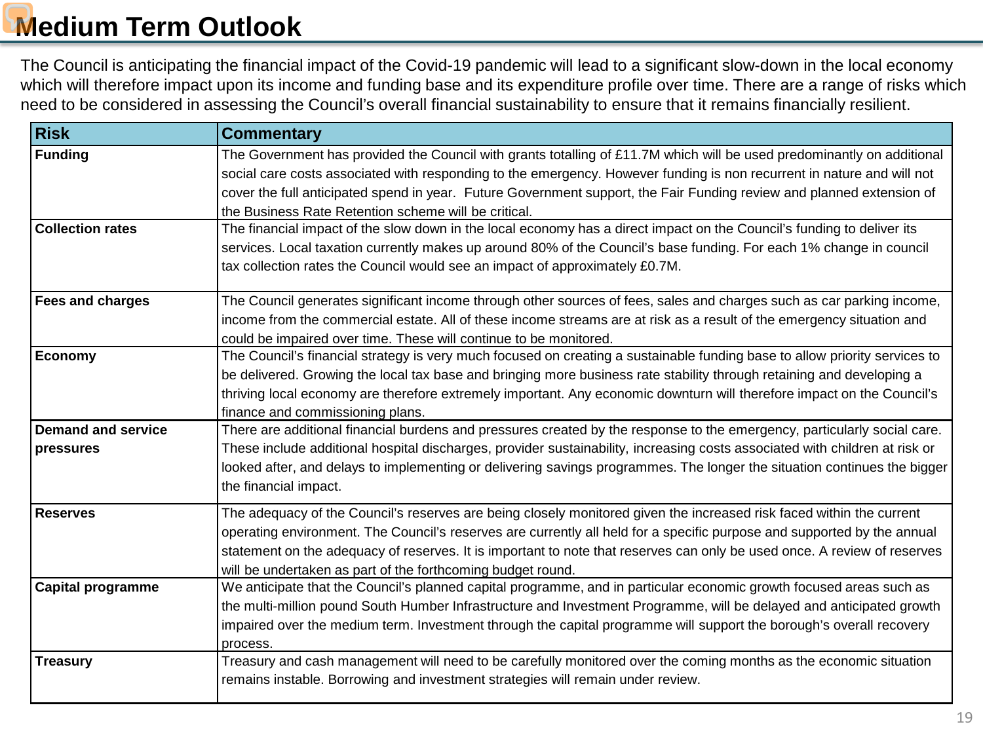# **Medium Term Outlook**

The Council is anticipating the financial impact of the Covid-19 pandemic will lead to a significant slow-down in the local economy which will therefore impact upon its income and funding base and its expenditure profile over time. There are a range of risks which need to be considered in assessing the Council's overall financial sustainability to ensure that it remains financially resilient.

| <b>Risk</b>                                 | <b>Commentary</b>                                                                                                                                                                                                                                                                                                                                                                                                                                                                                                                                                          |
|---------------------------------------------|----------------------------------------------------------------------------------------------------------------------------------------------------------------------------------------------------------------------------------------------------------------------------------------------------------------------------------------------------------------------------------------------------------------------------------------------------------------------------------------------------------------------------------------------------------------------------|
| <b>Funding</b>                              | The Government has provided the Council with grants totalling of £11.7M which will be used predominantly on additional                                                                                                                                                                                                                                                                                                                                                                                                                                                     |
|                                             | social care costs associated with responding to the emergency. However funding is non recurrent in nature and will not                                                                                                                                                                                                                                                                                                                                                                                                                                                     |
|                                             | cover the full anticipated spend in year. Future Government support, the Fair Funding review and planned extension of                                                                                                                                                                                                                                                                                                                                                                                                                                                      |
|                                             | the Business Rate Retention scheme will be critical.                                                                                                                                                                                                                                                                                                                                                                                                                                                                                                                       |
| <b>Collection rates</b>                     | The financial impact of the slow down in the local economy has a direct impact on the Council's funding to deliver its                                                                                                                                                                                                                                                                                                                                                                                                                                                     |
|                                             | services. Local taxation currently makes up around 80% of the Council's base funding. For each 1% change in council                                                                                                                                                                                                                                                                                                                                                                                                                                                        |
|                                             | tax collection rates the Council would see an impact of approximately £0.7M.                                                                                                                                                                                                                                                                                                                                                                                                                                                                                               |
| <b>Fees and charges</b>                     | The Council generates significant income through other sources of fees, sales and charges such as car parking income,                                                                                                                                                                                                                                                                                                                                                                                                                                                      |
|                                             | income from the commercial estate. All of these income streams are at risk as a result of the emergency situation and                                                                                                                                                                                                                                                                                                                                                                                                                                                      |
|                                             | could be impaired over time. These will continue to be monitored.                                                                                                                                                                                                                                                                                                                                                                                                                                                                                                          |
| <b>Economy</b>                              | The Council's financial strategy is very much focused on creating a sustainable funding base to allow priority services to                                                                                                                                                                                                                                                                                                                                                                                                                                                 |
|                                             | be delivered. Growing the local tax base and bringing more business rate stability through retaining and developing a                                                                                                                                                                                                                                                                                                                                                                                                                                                      |
|                                             | thriving local economy are therefore extremely important. Any economic downturn will therefore impact on the Council's                                                                                                                                                                                                                                                                                                                                                                                                                                                     |
|                                             | finance and commissioning plans.                                                                                                                                                                                                                                                                                                                                                                                                                                                                                                                                           |
| <b>Demand and service</b>                   | There are additional financial burdens and pressures created by the response to the emergency, particularly social care.                                                                                                                                                                                                                                                                                                                                                                                                                                                   |
| pressures                                   | These include additional hospital discharges, provider sustainability, increasing costs associated with children at risk or                                                                                                                                                                                                                                                                                                                                                                                                                                                |
|                                             | looked after, and delays to implementing or delivering savings programmes. The longer the situation continues the bigger                                                                                                                                                                                                                                                                                                                                                                                                                                                   |
|                                             | the financial impact.                                                                                                                                                                                                                                                                                                                                                                                                                                                                                                                                                      |
| <b>Reserves</b>                             | The adequacy of the Council's reserves are being closely monitored given the increased risk faced within the current                                                                                                                                                                                                                                                                                                                                                                                                                                                       |
|                                             | operating environment. The Council's reserves are currently all held for a specific purpose and supported by the annual                                                                                                                                                                                                                                                                                                                                                                                                                                                    |
|                                             | statement on the adequacy of reserves. It is important to note that reserves can only be used once. A review of reserves                                                                                                                                                                                                                                                                                                                                                                                                                                                   |
|                                             | will be undertaken as part of the forthcoming budget round.                                                                                                                                                                                                                                                                                                                                                                                                                                                                                                                |
|                                             |                                                                                                                                                                                                                                                                                                                                                                                                                                                                                                                                                                            |
|                                             |                                                                                                                                                                                                                                                                                                                                                                                                                                                                                                                                                                            |
|                                             |                                                                                                                                                                                                                                                                                                                                                                                                                                                                                                                                                                            |
|                                             | process.                                                                                                                                                                                                                                                                                                                                                                                                                                                                                                                                                                   |
|                                             |                                                                                                                                                                                                                                                                                                                                                                                                                                                                                                                                                                            |
|                                             |                                                                                                                                                                                                                                                                                                                                                                                                                                                                                                                                                                            |
| <b>Capital programme</b><br><b>Treasury</b> | We anticipate that the Council's planned capital programme, and in particular economic growth focused areas such as<br>the multi-million pound South Humber Infrastructure and Investment Programme, will be delayed and anticipated growth<br>impaired over the medium term. Investment through the capital programme will support the borough's overall recovery<br>Treasury and cash management will need to be carefully monitored over the coming months as the economic situation<br>remains instable. Borrowing and investment strategies will remain under review. |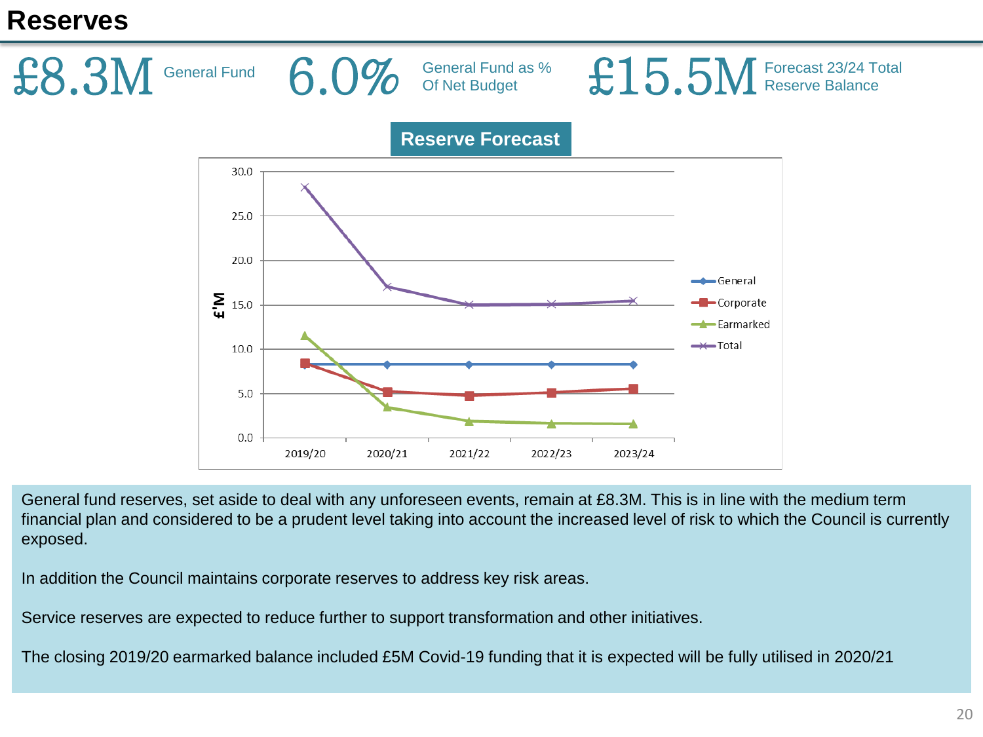### **Reserves**



General fund reserves, set aside to deal with any unforeseen events, remain at £8.3M. This is in line with the medium term financial plan and considered to be a prudent level taking into account the increased level of risk to which the Council is currently exposed.

In addition the Council maintains corporate reserves to address key risk areas.

Service reserves are expected to reduce further to support transformation and other initiatives.

The closing 2019/20 earmarked balance included £5M Covid-19 funding that it is expected will be fully utilised in 2020/21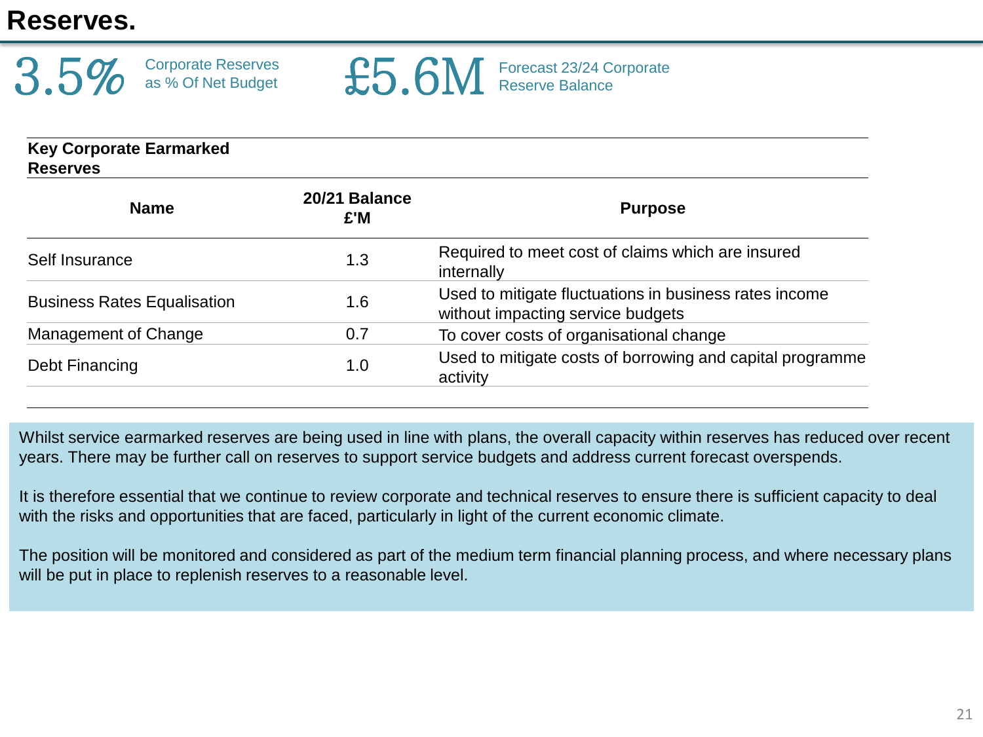# **Reserves.**



£5.6M Forecast 23/24 Corporate

| 20/21 Balance<br>£'M | <b>Purpose</b>                                                                              |
|----------------------|---------------------------------------------------------------------------------------------|
| 1.3                  | Required to meet cost of claims which are insured<br>internally                             |
| 1.6                  | Used to mitigate fluctuations in business rates income<br>without impacting service budgets |
| 0.7                  | To cover costs of organisational change                                                     |
| 1.0                  | Used to mitigate costs of borrowing and capital programme<br>activity                       |
|                      |                                                                                             |

Whilst service earmarked reserves are being used in line with plans, the overall capacity within reserves has reduced over recent years. There may be further call on reserves to support service budgets and address current forecast overspends.

It is therefore essential that we continue to review corporate and technical reserves to ensure there is sufficient capacity to deal with the risks and opportunities that are faced, particularly in light of the current economic climate.

The position will be monitored and considered as part of the medium term financial planning process, and where necessary plans will be put in place to replenish reserves to a reasonable level.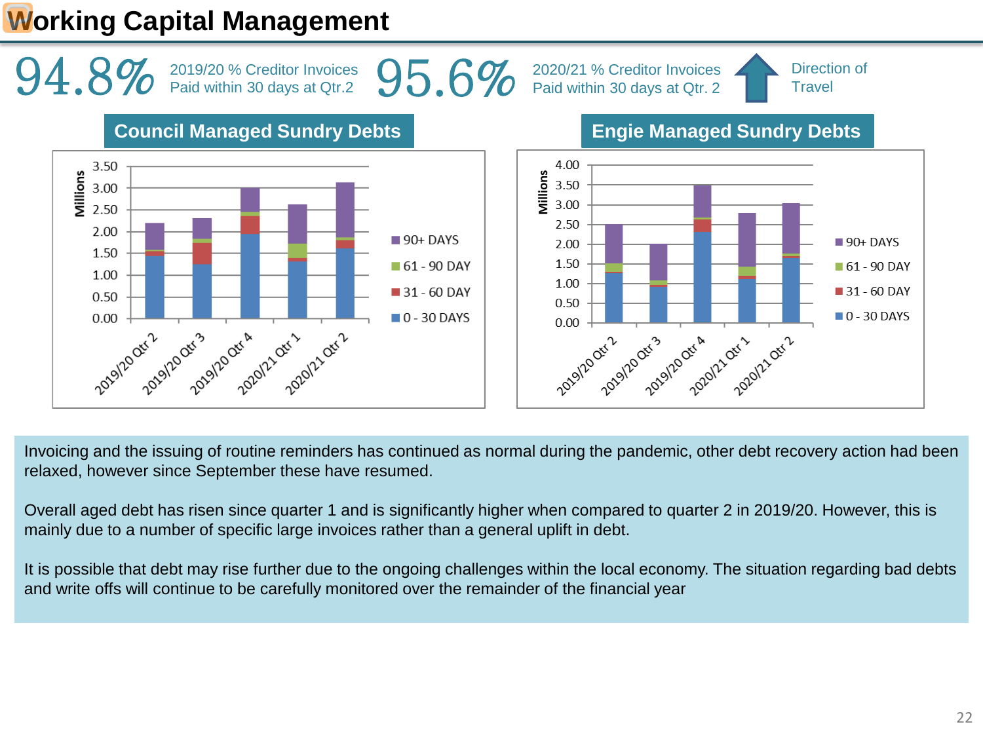# **Working Capital Management**



Invoicing and the issuing of routine reminders has continued as normal during the pandemic, other debt recovery action had been relaxed, however since September these have resumed.

Overall aged debt has risen since quarter 1 and is significantly higher when compared to quarter 2 in 2019/20. However, this is mainly due to a number of specific large invoices rather than a general uplift in debt.

It is possible that debt may rise further due to the ongoing challenges within the local economy. The situation regarding bad debts and write offs will continue to be carefully monitored over the remainder of the financial year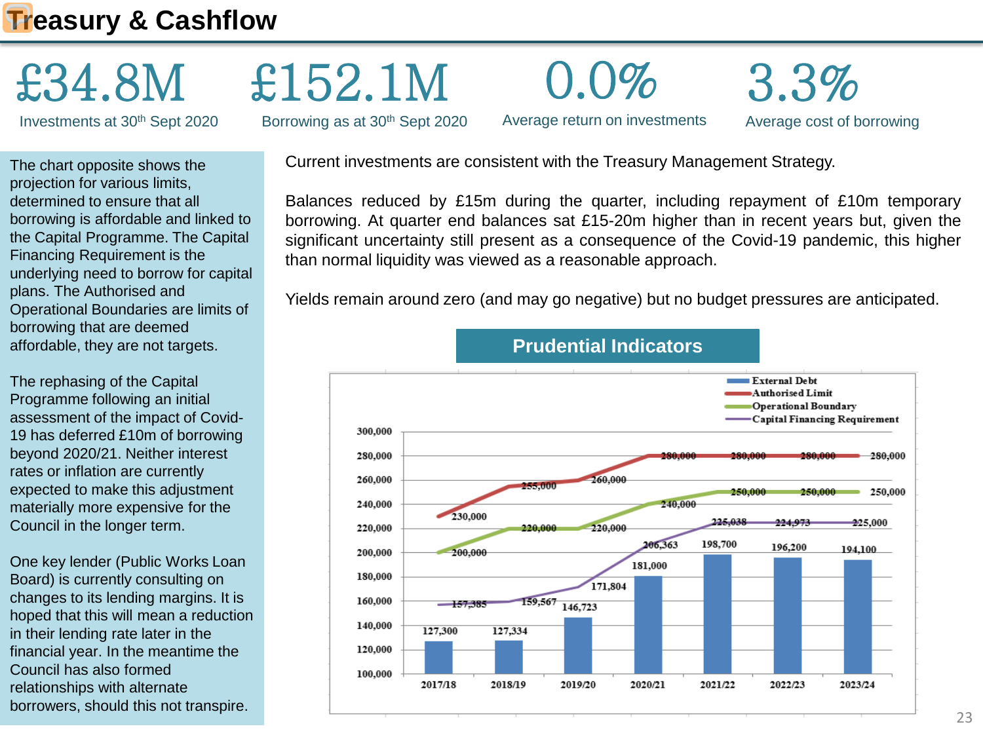# **Treasury & Cashflow**

# £34.8M

Investments at 30th Sept 2020

The chart opposite shows the projection for various limits, determined to ensure that all borrowing is affordable and linked to the Capital Programme. The Capital Financing Requirement is the underlying need to borrow for capital plans. The Authorised and Operational Boundaries are limits of borrowing that are deemed affordable, they are not targets.

The rephasing of the Capital Programme following an initial assessment of the impact of Covid-19 has deferred £10m of borrowing beyond 2020/21. Neither interest rates or inflation are currently expected to make this adjustment materially more expensive for the Council in the longer term.

One key lender (Public Works Loan Board) is currently consulting on changes to its lending margins. It is hoped that this will mean a reduction in their lending rate later in the financial year. In the meantime the Council has also formed relationships with alternate borrowers, should this not transpire.

Current investments are consistent with the Treasury Management Strategy.

Borrowing as at 30<sup>th</sup> Sept 2020

£152.1M

Balances reduced by £15m during the quarter, including repayment of £10m temporary borrowing. At quarter end balances sat £15-20m higher than in recent years but, given the significant uncertainty still present as a consequence of the Covid-19 pandemic, this higher than normal liquidity was viewed as a reasonable approach.

Average cost of borrowing

3.3%



Yields remain around zero (and may go negative) but no budget pressures are anticipated.

Average return on investments

0.0%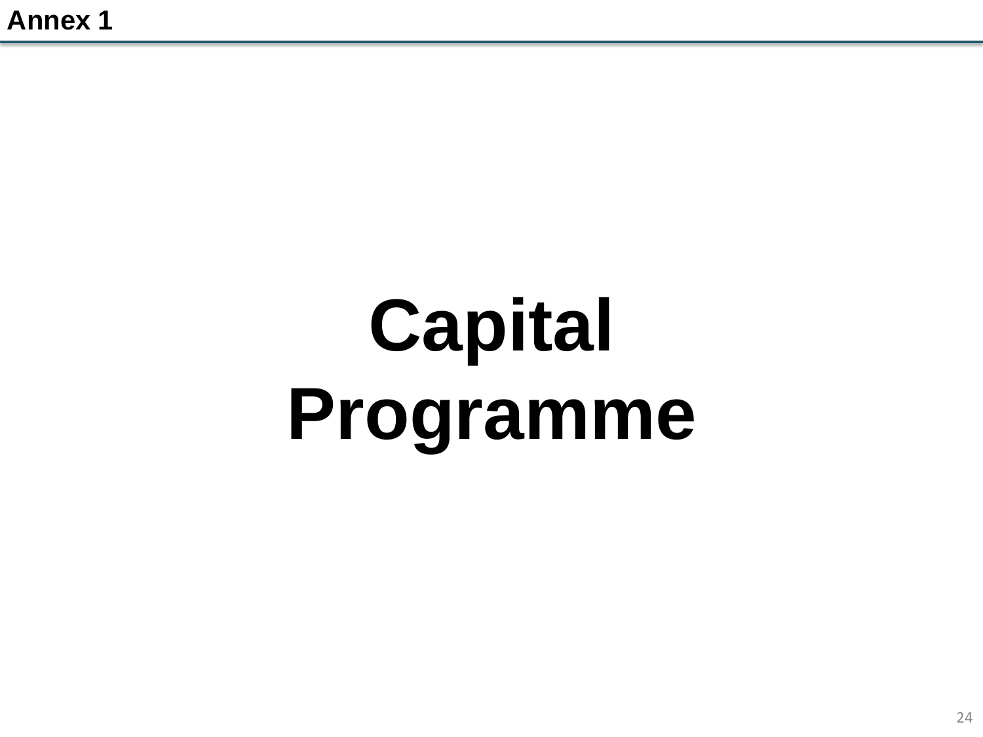# **Capital Programme**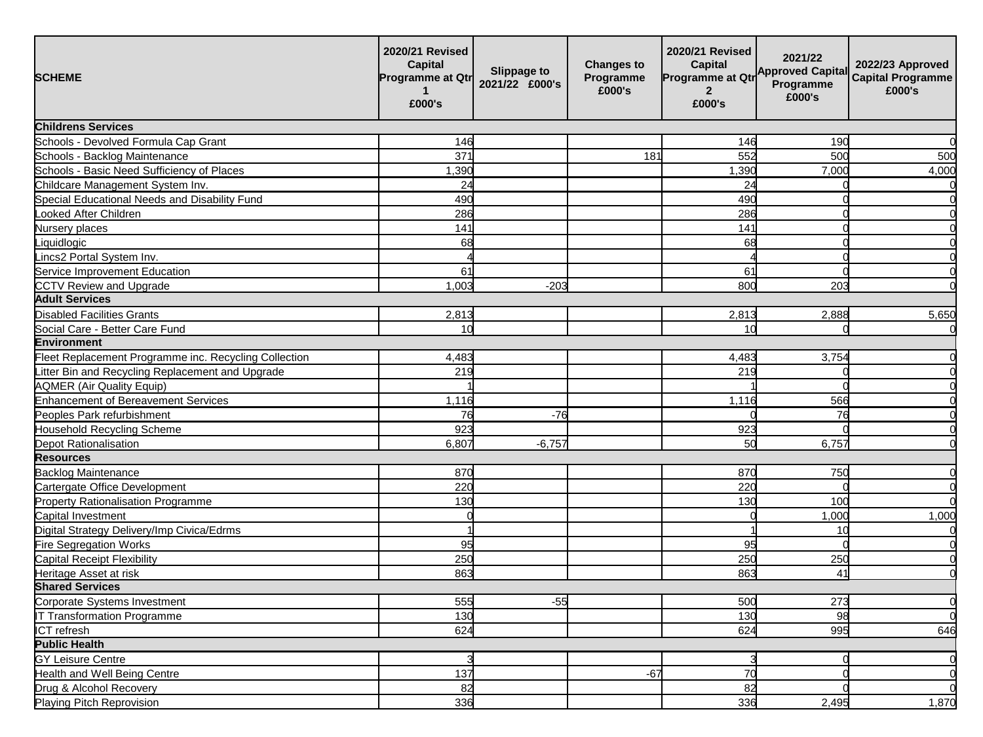| <b>SCHEME</b>                                         | 2020/21 Revised<br>Capital<br><b>Programme at Qtr</b><br>£000's | Slippage to<br>2021/22 £000's | <b>Changes to</b><br>Programme<br>£000's | 2020/21 Revised<br><b>Capital</b><br>Programme at Qtr<br>$\overline{2}$<br>£000's | 2021/22<br><b>Approved Capital</b><br>Programme<br>£000's | 2022/23 Approved<br><b>Capital Programme</b><br>£000's |
|-------------------------------------------------------|-----------------------------------------------------------------|-------------------------------|------------------------------------------|-----------------------------------------------------------------------------------|-----------------------------------------------------------|--------------------------------------------------------|
| <b>Childrens Services</b>                             |                                                                 |                               |                                          |                                                                                   |                                                           |                                                        |
| Schools - Devolved Formula Cap Grant                  | 146                                                             |                               |                                          | 146                                                                               | 190                                                       | $\Omega$                                               |
| Schools - Backlog Maintenance                         | 37 <sup>1</sup>                                                 |                               | 181                                      | 552                                                                               | 500                                                       | 500                                                    |
| Schools - Basic Need Sufficiency of Places            | 1,390                                                           |                               |                                          | 1,390                                                                             | 7,000                                                     | 4,000                                                  |
| Childcare Management System Inv.                      | 24                                                              |                               |                                          | 24                                                                                |                                                           | 0                                                      |
| Special Educational Needs and Disability Fund         | 490                                                             |                               |                                          | 490                                                                               |                                                           | $\Omega$                                               |
| ooked After Children                                  | 286                                                             |                               |                                          | 286                                                                               |                                                           | $\Omega$                                               |
| Nursery places                                        | 141                                                             |                               |                                          | 141                                                                               |                                                           | $\Omega$                                               |
| Liquidlogic                                           | 68                                                              |                               |                                          | 68                                                                                |                                                           | $\Omega$                                               |
| Lincs2 Portal System Inv.                             |                                                                 |                               |                                          |                                                                                   |                                                           | $\Omega$                                               |
| ervice Improvement Education                          | 61                                                              |                               |                                          | 61                                                                                |                                                           | $\Omega$                                               |
| CCTV Review and Upgrade                               | 1.003                                                           | $-203$                        |                                          | 800                                                                               | 203                                                       | $\Omega$                                               |
| <b>Adult Services</b>                                 |                                                                 |                               |                                          |                                                                                   |                                                           |                                                        |
| <b>Disabled Facilities Grants</b>                     | 2,813                                                           |                               |                                          | 2,813                                                                             | 2,888                                                     | 5,650                                                  |
| Social Care - Better Care Fund                        | 10 <sup>1</sup>                                                 |                               |                                          | 10                                                                                |                                                           | $\Omega$                                               |
| <b>Environment</b>                                    |                                                                 |                               |                                          |                                                                                   |                                                           |                                                        |
| Fleet Replacement Programme inc. Recycling Collection | 4,483                                                           |                               |                                          | 4,483                                                                             | 3,754                                                     | $\Omega$                                               |
| Litter Bin and Recycling Replacement and Upgrade      | 219                                                             |                               |                                          | 219                                                                               |                                                           | $\Omega$                                               |
| <b>AQMER (Air Quality Equip)</b>                      |                                                                 |                               |                                          |                                                                                   |                                                           | $\Omega$                                               |
| <b>Enhancement of Bereavement Services</b>            | 1,116                                                           |                               |                                          | 1,116                                                                             | 566                                                       | $\Omega$                                               |
| Peoples Park refurbishment                            | 76                                                              | $-76$                         |                                          |                                                                                   | 76                                                        | $\Omega$                                               |
| <b>Household Recycling Scheme</b>                     | 923                                                             |                               |                                          | 923                                                                               |                                                           | $\Omega$                                               |
| Depot Rationalisation                                 | 6,807                                                           | $-6,757$                      |                                          | 50                                                                                | 6,757                                                     | $\Omega$                                               |
| <b>Resources</b>                                      |                                                                 |                               |                                          |                                                                                   |                                                           |                                                        |
| <b>Backlog Maintenance</b>                            | 870                                                             |                               |                                          | 870                                                                               | 750                                                       | O                                                      |
| Cartergate Office Development                         | 220                                                             |                               |                                          | 220                                                                               |                                                           | $\overline{0}$                                         |
| Property Rationalisation Programme                    | 130                                                             |                               |                                          | 130                                                                               | 100                                                       | $\Omega$                                               |
| Capital Investment                                    |                                                                 |                               |                                          |                                                                                   | 1,000                                                     | 1,000                                                  |
| Digital Strategy Delivery/Imp Civica/Edrms            |                                                                 |                               |                                          |                                                                                   | 10                                                        | $\Omega$                                               |
| Fire Segregation Works                                | 95                                                              |                               |                                          | 95                                                                                |                                                           | $\Omega$                                               |
| Capital Receipt Flexibility                           | 250                                                             |                               |                                          | 250                                                                               | 250                                                       | $\Omega$                                               |
| Heritage Asset at risk                                | 863                                                             |                               |                                          | 863                                                                               | 41                                                        | $\Omega$                                               |
| <b>Shared Services</b>                                |                                                                 |                               |                                          |                                                                                   |                                                           |                                                        |
| Corporate Systems Investment                          | 555                                                             | $-55$                         |                                          | 500                                                                               | 273                                                       | $\Omega$                                               |
| <b>TT</b> Transformation Programme                    | 130                                                             |                               |                                          | 130                                                                               | 98                                                        | $\Omega$                                               |
| ICT refresh                                           | 624                                                             |                               |                                          | 624                                                                               | 995                                                       | 646                                                    |
| <b>Public Health</b>                                  |                                                                 |                               |                                          |                                                                                   |                                                           |                                                        |
| <b>GY Leisure Centre</b>                              |                                                                 |                               |                                          |                                                                                   |                                                           | $\overline{0}$                                         |
| <b>Health and Well Being Centre</b>                   | 137                                                             |                               | $-67$                                    | 70                                                                                |                                                           | $\Omega$                                               |
| Drug & Alcohol Recovery                               | 82                                                              |                               |                                          | 82                                                                                |                                                           | $\Omega$                                               |
| Playing Pitch Reprovision                             | 336                                                             |                               |                                          | 336                                                                               | 2,495                                                     | 1,870                                                  |